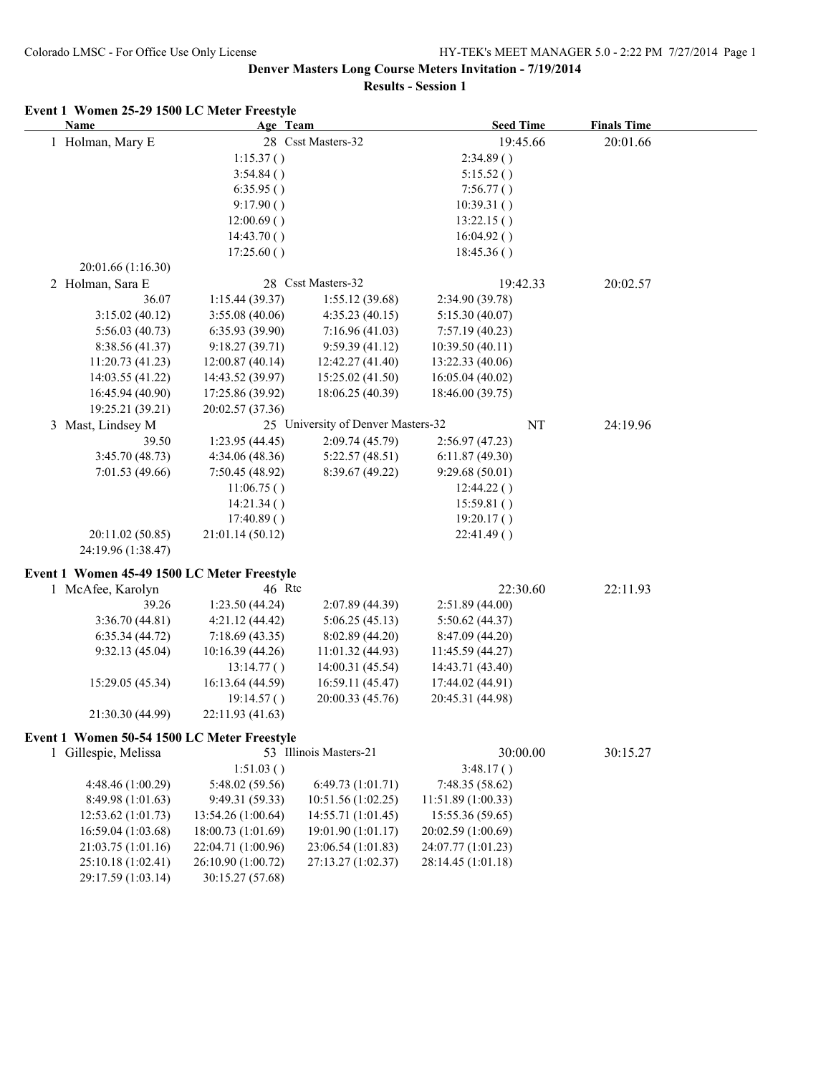## **Denver Masters Long Course Meters Invitation - 7/19/2014**

**Results - Session 1**

| Event 1 Women 25-29 1500 LC Meter Freestyle<br>Name | Age Team           |                                    | <b>Seed Time</b>   |          | <b>Finals Time</b> |  |
|-----------------------------------------------------|--------------------|------------------------------------|--------------------|----------|--------------------|--|
| 1 Holman, Mary E                                    |                    | 28 Csst Masters-32                 |                    | 19:45.66 | 20:01.66           |  |
|                                                     | 1:15.37()          |                                    | 2:34.89()          |          |                    |  |
|                                                     | 3:54.84()          |                                    | 5:15.52()          |          |                    |  |
|                                                     | 6:35.95()          |                                    | 7:56.77()          |          |                    |  |
|                                                     | 9:17.90()          |                                    | 10:39.31()         |          |                    |  |
|                                                     | 12:00.69()         |                                    | 13:22.15()         |          |                    |  |
|                                                     | 14:43.70()         |                                    | 16:04.92()         |          |                    |  |
|                                                     | 17:25.60()         |                                    | 18:45.36()         |          |                    |  |
| 20:01.66 (1:16.30)                                  |                    |                                    |                    |          |                    |  |
| 2 Holman, Sara E                                    |                    | 28 Csst Masters-32                 |                    | 19:42.33 | 20:02.57           |  |
| 36.07                                               | 1:15.44(39.37)     | 1:55.12(39.68)                     | 2:34.90 (39.78)    |          |                    |  |
| 3:15.02(40.12)                                      | 3:55.08(40.06)     | 4:35.23(40.15)                     | 5:15.30(40.07)     |          |                    |  |
| 5:56.03(40.73)                                      | 6:35.93 (39.90)    | 7:16.96(41.03)                     | 7:57.19(40.23)     |          |                    |  |
| 8:38.56 (41.37)                                     | 9:18.27(39.71)     | 9:59.39(41.12)                     | 10:39.50(40.11)    |          |                    |  |
| 11:20.73 (41.23)                                    | 12:00.87 (40.14)   | 12:42.27 (41.40)                   | 13:22.33 (40.06)   |          |                    |  |
| 14:03.55 (41.22)                                    | 14:43.52 (39.97)   | 15:25.02 (41.50)                   | 16:05.04(40.02)    |          |                    |  |
| 16:45.94 (40.90)                                    | 17:25.86 (39.92)   | 18:06.25 (40.39)                   | 18:46.00 (39.75)   |          |                    |  |
| 19:25.21 (39.21)                                    | 20:02.57 (37.36)   |                                    |                    |          |                    |  |
| 3 Mast, Lindsey M                                   |                    | 25 University of Denver Masters-32 |                    | NT       | 24:19.96           |  |
| 39.50                                               | 1:23.95(44.45)     | 2:09.74 (45.79)                    | 2:56.97(47.23)     |          |                    |  |
| 3:45.70(48.73)                                      | 4:34.06(48.36)     | 5:22.57(48.51)                     | 6:11.87(49.30)     |          |                    |  |
| 7:01.53(49.66)                                      | 7:50.45(48.92)     | 8:39.67 (49.22)                    | 9:29.68(50.01)     |          |                    |  |
|                                                     | 11:06.75()         |                                    | 12:44.22()         |          |                    |  |
|                                                     | 14:21.34()         |                                    | 15:59.81()         |          |                    |  |
|                                                     | 17:40.89()         |                                    | 19:20.17()         |          |                    |  |
| 20:11.02 (50.85)                                    | 21:01.14 (50.12)   |                                    | 22:41.49()         |          |                    |  |
| 24:19.96 (1:38.47)                                  |                    |                                    |                    |          |                    |  |
|                                                     |                    |                                    |                    |          |                    |  |
| Event 1 Women 45-49 1500 LC Meter Freestyle         |                    |                                    |                    |          |                    |  |
| 1 McAfee, Karolyn                                   | 46 Rtc             |                                    |                    | 22:30.60 | 22:11.93           |  |
| 39.26                                               | 1:23.50(44.24)     | 2:07.89 (44.39)                    | 2:51.89(44.00)     |          |                    |  |
| 3:36.70(44.81)                                      | 4:21.12 (44.42)    | 5:06.25(45.13)                     | 5:50.62(44.37)     |          |                    |  |
| 6:35.34(44.72)                                      | 7:18.69(43.35)     | 8:02.89 (44.20)                    | 8:47.09 (44.20)    |          |                    |  |
| 9:32.13(45.04)                                      | 10:16.39(44.26)    | 11:01.32(44.93)                    | 11:45.59 (44.27)   |          |                    |  |
|                                                     | 13:14.77()         | 14:00.31(45.54)                    | 14:43.71 (43.40)   |          |                    |  |
| 15:29.05 (45.34)                                    | 16:13.64 (44.59)   | 16:59.11 (45.47)                   | 17:44.02 (44.91)   |          |                    |  |
|                                                     | 19:14.57()         | 20:00.33 (45.76)                   | 20:45.31 (44.98)   |          |                    |  |
| 21:30.30 (44.99)                                    | 22:11.93 (41.63)   |                                    |                    |          |                    |  |
| Event 1 Women 50-54 1500 LC Meter Freestyle         |                    |                                    |                    |          |                    |  |
| 1 Gillespie, Melissa                                |                    | 53 Illinois Masters-21             |                    | 30:00.00 | 30:15.27           |  |
|                                                     | 1:51.03()          |                                    | 3:48.17()          |          |                    |  |
| 4:48.46 (1:00.29)                                   | 5:48.02 (59.56)    | 6:49.73 (1:01.71)                  | 7:48.35 (58.62)    |          |                    |  |
| 8:49.98 (1:01.63)                                   | 9:49.31 (59.33)    | 10:51.56 (1:02.25)                 | 11:51.89 (1:00.33) |          |                    |  |
| 12:53.62 (1:01.73)                                  | 13:54.26 (1:00.64) | 14:55.71 (1:01.45)                 | 15:55.36 (59.65)   |          |                    |  |
| 16:59.04 (1:03.68)                                  | 18:00.73 (1:01.69) | 19:01.90 (1:01.17)                 | 20:02.59 (1:00.69) |          |                    |  |
| 21:03.75 (1:01.16)                                  | 22:04.71 (1:00.96) | 23:06.54 (1:01.83)                 | 24:07.77 (1:01.23) |          |                    |  |
| 25:10.18 (1:02.41)                                  | 26:10.90 (1:00.72) | 27:13.27 (1:02.37)                 | 28:14.45 (1:01.18) |          |                    |  |
| 29:17.59 (1:03.14)                                  | 30:15.27 (57.68)   |                                    |                    |          |                    |  |
|                                                     |                    |                                    |                    |          |                    |  |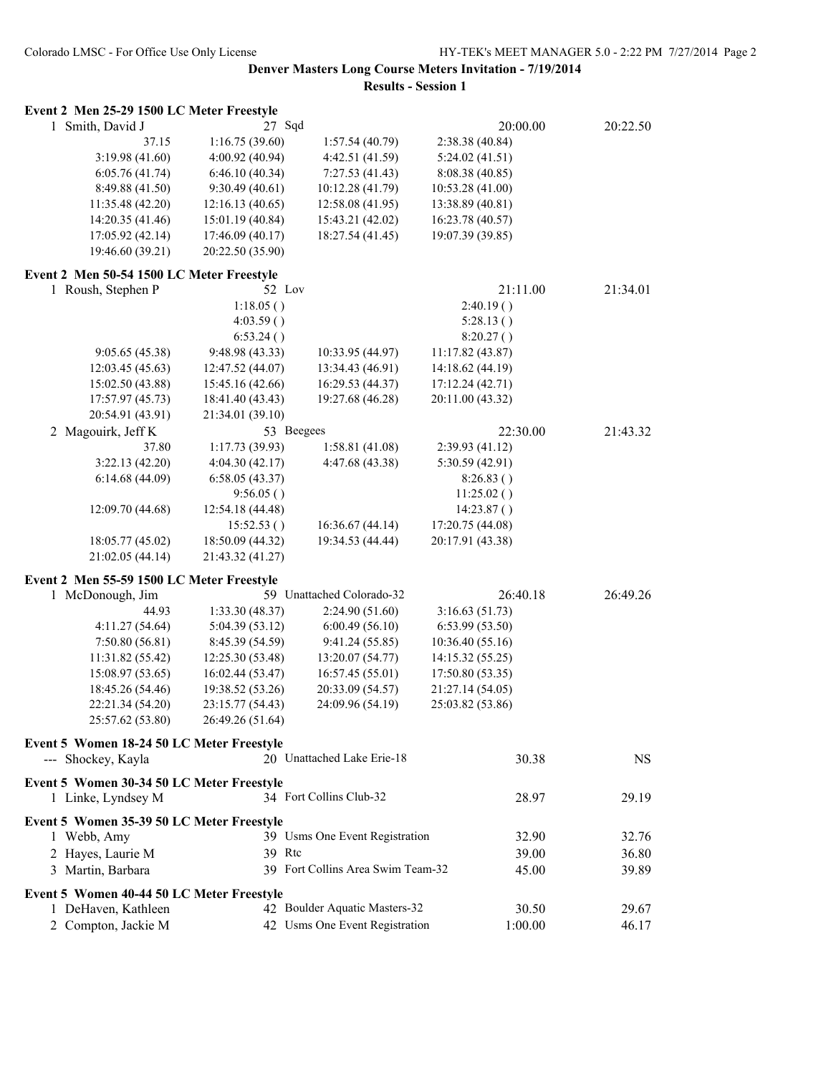# **Denver Masters Long Course Meters Invitation - 7/19/2014**

**Results - Session 1**

| Event 2 Men 25-29 1500 LC Meter Freestyle |                  |                                   |                  |          |
|-------------------------------------------|------------------|-----------------------------------|------------------|----------|
| 1 Smith, David J                          | 27 Sqd           |                                   | 20:00.00         | 20:22.50 |
| 37.15                                     | 1:16.75(39.60)   | 1:57.54(40.79)                    | 2:38.38 (40.84)  |          |
| 3:19.98 (41.60)                           | 4:00.92 (40.94)  | 4:42.51 (41.59)                   | 5:24.02(41.51)   |          |
| 6:05.76(41.74)                            | 6:46.10(40.34)   | 7:27.53(41.43)                    | 8:08.38 (40.85)  |          |
| 8:49.88 (41.50)                           | 9:30.49(40.61)   | 10:12.28 (41.79)                  | 10:53.28 (41.00) |          |
| 11:35.48 (42.20)                          | 12:16.13 (40.65) | 12:58.08 (41.95)                  | 13:38.89 (40.81) |          |
| 14:20.35 (41.46)                          | 15:01.19 (40.84) | 15:43.21 (42.02)                  | 16:23.78 (40.57) |          |
| 17:05.92 (42.14)                          | 17:46.09 (40.17) | 18:27.54 (41.45)                  | 19:07.39 (39.85) |          |
| 19:46.60 (39.21)                          | 20:22.50 (35.90) |                                   |                  |          |
| Event 2 Men 50-54 1500 LC Meter Freestyle |                  |                                   |                  |          |
| 1 Roush, Stephen P                        | 52 Lov           |                                   | 21:11.00         | 21:34.01 |
|                                           | 1:18.05()        |                                   | 2:40.19()        |          |
|                                           | 4:03.59()        |                                   | 5:28.13()        |          |
|                                           | 6:53.24()        |                                   | 8:20.27()        |          |
| 9:05.65(45.38)                            | 9:48.98 (43.33)  | 10:33.95 (44.97)                  | 11:17.82 (43.87) |          |
| 12:03.45 (45.63)                          | 12:47.52 (44.07) | 13:34.43 (46.91)                  | 14:18.62 (44.19) |          |
| 15:02.50 (43.88)                          | 15:45.16 (42.66) | 16:29.53 (44.37)                  | 17:12.24 (42.71) |          |
| 17:57.97 (45.73)                          | 18:41.40 (43.43) | 19:27.68 (46.28)                  | 20:11.00 (43.32) |          |
| 20:54.91 (43.91)                          | 21:34.01 (39.10) |                                   |                  |          |
| 2 Magouirk, Jeff K                        | 53 Beegees       |                                   | 22:30.00         | 21:43.32 |
| 37.80                                     | 1:17.73(39.93)   | 1:58.81(41.08)                    | 2:39.93 (41.12)  |          |
| 3:22.13(42.20)                            | 4:04.30(42.17)   | 4:47.68 (43.38)                   | 5:30.59 (42.91)  |          |
| 6:14.68(44.09)                            | 6:58.05(43.37)   |                                   | 8:26.83()        |          |
|                                           | 9:56.05()        |                                   | 11:25.02()       |          |
| 12:09.70 (44.68)                          | 12:54.18 (44.48) |                                   | 14:23.87()       |          |
|                                           | 15:52.53()       | 16:36.67 (44.14)                  | 17:20.75 (44.08) |          |
| 18:05.77 (45.02)                          | 18:50.09 (44.32) | 19:34.53 (44.44)                  | 20:17.91 (43.38) |          |
| 21:02.05 (44.14)                          | 21:43.32 (41.27) |                                   |                  |          |
| Event 2 Men 55-59 1500 LC Meter Freestyle |                  |                                   |                  |          |
| 1 McDonough, Jim                          |                  | 59 Unattached Colorado-32         | 26:40.18         | 26:49.26 |
| 44.93                                     | 1:33.30 (48.37)  | 2:24.90(51.60)                    | 3:16.63(51.73)   |          |
| 4:11.27(54.64)                            | 5:04.39 (53.12)  | 6:00.49(56.10)                    | 6:53.99(53.50)   |          |
| 7:50.80(56.81)                            | 8:45.39 (54.59)  | 9:41.24(55.85)                    | 10:36.40 (55.16) |          |
| 11:31.82 (55.42)                          | 12:25.30 (53.48) | 13:20.07 (54.77)                  | 14:15.32 (55.25) |          |
| 15:08.97 (53.65)                          | 16:02.44 (53.47) | 16:57.45 (55.01)                  | 17:50.80 (53.35) |          |
| 18:45.26 (54.46)                          | 19:38.52 (53.26) | 20:33.09 (54.57)                  | 21:27.14 (54.05) |          |
| 22:21.34 (54.20)                          | 23:15.77 (54.43) | 24:09.96 (54.19)                  | 25:03.82 (53.86) |          |
| 25:57.62 (53.80)                          | 26:49.26 (51.64) |                                   |                  |          |
| Event 5 Women 18-24 50 LC Meter Freestyle |                  |                                   |                  |          |
| --- Shockey, Kayla                        |                  | 20 Unattached Lake Erie-18        | 30.38            | NS.      |
|                                           |                  |                                   |                  |          |
| Event 5 Women 30-34 50 LC Meter Freestyle |                  |                                   |                  |          |
| 1 Linke, Lyndsey M                        |                  | 34 Fort Collins Club-32           | 28.97            | 29.19    |
| Event 5 Women 35-39 50 LC Meter Freestyle |                  |                                   |                  |          |
| 1 Webb, Amy                               |                  | 39 Usms One Event Registration    | 32.90            | 32.76    |
| 2 Hayes, Laurie M                         | 39 Rtc           |                                   | 39.00            | 36.80    |
| 3 Martin, Barbara                         |                  | 39 Fort Collins Area Swim Team-32 | 45.00            | 39.89    |
|                                           |                  |                                   |                  |          |
| Event 5 Women 40-44 50 LC Meter Freestyle |                  |                                   |                  |          |
| 1 DeHaven, Kathleen                       |                  | 42 Boulder Aquatic Masters-32     | 30.50            | 29.67    |
| 2 Compton, Jackie M                       |                  | 42 Usms One Event Registration    | 1:00.00          | 46.17    |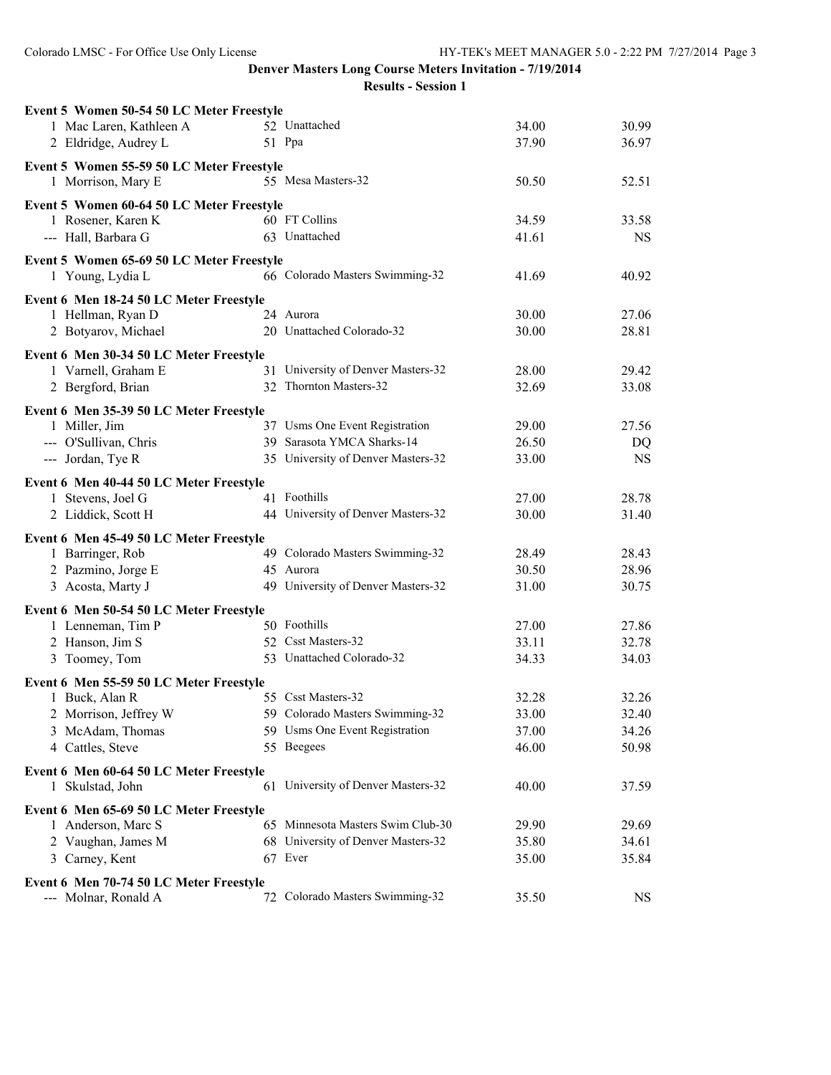|                                         |                                                                                                                                                                                                                                                                                                           | 34.00                                                                                                                                                                                                                                                                                                                                                                                                                                                                                                                                                                                                                                                                                                                                                                                                                                                                                                                                                                                                         | 30.99                                                                                  |
|-----------------------------------------|-----------------------------------------------------------------------------------------------------------------------------------------------------------------------------------------------------------------------------------------------------------------------------------------------------------|---------------------------------------------------------------------------------------------------------------------------------------------------------------------------------------------------------------------------------------------------------------------------------------------------------------------------------------------------------------------------------------------------------------------------------------------------------------------------------------------------------------------------------------------------------------------------------------------------------------------------------------------------------------------------------------------------------------------------------------------------------------------------------------------------------------------------------------------------------------------------------------------------------------------------------------------------------------------------------------------------------------|----------------------------------------------------------------------------------------|
|                                         |                                                                                                                                                                                                                                                                                                           | 37.90                                                                                                                                                                                                                                                                                                                                                                                                                                                                                                                                                                                                                                                                                                                                                                                                                                                                                                                                                                                                         | 36.97                                                                                  |
|                                         |                                                                                                                                                                                                                                                                                                           |                                                                                                                                                                                                                                                                                                                                                                                                                                                                                                                                                                                                                                                                                                                                                                                                                                                                                                                                                                                                               |                                                                                        |
|                                         |                                                                                                                                                                                                                                                                                                           | 50.50                                                                                                                                                                                                                                                                                                                                                                                                                                                                                                                                                                                                                                                                                                                                                                                                                                                                                                                                                                                                         | 52.51                                                                                  |
|                                         |                                                                                                                                                                                                                                                                                                           |                                                                                                                                                                                                                                                                                                                                                                                                                                                                                                                                                                                                                                                                                                                                                                                                                                                                                                                                                                                                               |                                                                                        |
|                                         |                                                                                                                                                                                                                                                                                                           | 34.59                                                                                                                                                                                                                                                                                                                                                                                                                                                                                                                                                                                                                                                                                                                                                                                                                                                                                                                                                                                                         | 33.58                                                                                  |
|                                         |                                                                                                                                                                                                                                                                                                           | 41.61                                                                                                                                                                                                                                                                                                                                                                                                                                                                                                                                                                                                                                                                                                                                                                                                                                                                                                                                                                                                         | <b>NS</b>                                                                              |
|                                         |                                                                                                                                                                                                                                                                                                           |                                                                                                                                                                                                                                                                                                                                                                                                                                                                                                                                                                                                                                                                                                                                                                                                                                                                                                                                                                                                               |                                                                                        |
|                                         |                                                                                                                                                                                                                                                                                                           | 41.69                                                                                                                                                                                                                                                                                                                                                                                                                                                                                                                                                                                                                                                                                                                                                                                                                                                                                                                                                                                                         | 40.92                                                                                  |
|                                         |                                                                                                                                                                                                                                                                                                           |                                                                                                                                                                                                                                                                                                                                                                                                                                                                                                                                                                                                                                                                                                                                                                                                                                                                                                                                                                                                               |                                                                                        |
|                                         |                                                                                                                                                                                                                                                                                                           |                                                                                                                                                                                                                                                                                                                                                                                                                                                                                                                                                                                                                                                                                                                                                                                                                                                                                                                                                                                                               | 27.06                                                                                  |
|                                         |                                                                                                                                                                                                                                                                                                           | 30.00                                                                                                                                                                                                                                                                                                                                                                                                                                                                                                                                                                                                                                                                                                                                                                                                                                                                                                                                                                                                         | 28.81                                                                                  |
|                                         |                                                                                                                                                                                                                                                                                                           |                                                                                                                                                                                                                                                                                                                                                                                                                                                                                                                                                                                                                                                                                                                                                                                                                                                                                                                                                                                                               |                                                                                        |
|                                         |                                                                                                                                                                                                                                                                                                           |                                                                                                                                                                                                                                                                                                                                                                                                                                                                                                                                                                                                                                                                                                                                                                                                                                                                                                                                                                                                               | 29.42                                                                                  |
|                                         |                                                                                                                                                                                                                                                                                                           |                                                                                                                                                                                                                                                                                                                                                                                                                                                                                                                                                                                                                                                                                                                                                                                                                                                                                                                                                                                                               | 33.08                                                                                  |
|                                         |                                                                                                                                                                                                                                                                                                           |                                                                                                                                                                                                                                                                                                                                                                                                                                                                                                                                                                                                                                                                                                                                                                                                                                                                                                                                                                                                               |                                                                                        |
|                                         |                                                                                                                                                                                                                                                                                                           |                                                                                                                                                                                                                                                                                                                                                                                                                                                                                                                                                                                                                                                                                                                                                                                                                                                                                                                                                                                                               |                                                                                        |
|                                         |                                                                                                                                                                                                                                                                                                           |                                                                                                                                                                                                                                                                                                                                                                                                                                                                                                                                                                                                                                                                                                                                                                                                                                                                                                                                                                                                               | 27.56                                                                                  |
|                                         |                                                                                                                                                                                                                                                                                                           |                                                                                                                                                                                                                                                                                                                                                                                                                                                                                                                                                                                                                                                                                                                                                                                                                                                                                                                                                                                                               | DQ                                                                                     |
|                                         |                                                                                                                                                                                                                                                                                                           |                                                                                                                                                                                                                                                                                                                                                                                                                                                                                                                                                                                                                                                                                                                                                                                                                                                                                                                                                                                                               | <b>NS</b>                                                                              |
| Event 6 Men 40-44 50 LC Meter Freestyle |                                                                                                                                                                                                                                                                                                           |                                                                                                                                                                                                                                                                                                                                                                                                                                                                                                                                                                                                                                                                                                                                                                                                                                                                                                                                                                                                               |                                                                                        |
|                                         |                                                                                                                                                                                                                                                                                                           |                                                                                                                                                                                                                                                                                                                                                                                                                                                                                                                                                                                                                                                                                                                                                                                                                                                                                                                                                                                                               | 28.78                                                                                  |
|                                         |                                                                                                                                                                                                                                                                                                           |                                                                                                                                                                                                                                                                                                                                                                                                                                                                                                                                                                                                                                                                                                                                                                                                                                                                                                                                                                                                               | 31.40                                                                                  |
| Event 6 Men 45-49 50 LC Meter Freestyle |                                                                                                                                                                                                                                                                                                           |                                                                                                                                                                                                                                                                                                                                                                                                                                                                                                                                                                                                                                                                                                                                                                                                                                                                                                                                                                                                               |                                                                                        |
|                                         |                                                                                                                                                                                                                                                                                                           | 28.49                                                                                                                                                                                                                                                                                                                                                                                                                                                                                                                                                                                                                                                                                                                                                                                                                                                                                                                                                                                                         | 28.43                                                                                  |
|                                         |                                                                                                                                                                                                                                                                                                           | 30.50                                                                                                                                                                                                                                                                                                                                                                                                                                                                                                                                                                                                                                                                                                                                                                                                                                                                                                                                                                                                         | 28.96                                                                                  |
|                                         |                                                                                                                                                                                                                                                                                                           | 31.00                                                                                                                                                                                                                                                                                                                                                                                                                                                                                                                                                                                                                                                                                                                                                                                                                                                                                                                                                                                                         | 30.75                                                                                  |
| Event 6 Men 50-54 50 LC Meter Freestyle |                                                                                                                                                                                                                                                                                                           |                                                                                                                                                                                                                                                                                                                                                                                                                                                                                                                                                                                                                                                                                                                                                                                                                                                                                                                                                                                                               |                                                                                        |
|                                         |                                                                                                                                                                                                                                                                                                           | 27.00                                                                                                                                                                                                                                                                                                                                                                                                                                                                                                                                                                                                                                                                                                                                                                                                                                                                                                                                                                                                         | 27.86                                                                                  |
|                                         |                                                                                                                                                                                                                                                                                                           | 33.11                                                                                                                                                                                                                                                                                                                                                                                                                                                                                                                                                                                                                                                                                                                                                                                                                                                                                                                                                                                                         | 32.78                                                                                  |
|                                         |                                                                                                                                                                                                                                                                                                           | 34.33                                                                                                                                                                                                                                                                                                                                                                                                                                                                                                                                                                                                                                                                                                                                                                                                                                                                                                                                                                                                         | 34.03                                                                                  |
|                                         |                                                                                                                                                                                                                                                                                                           |                                                                                                                                                                                                                                                                                                                                                                                                                                                                                                                                                                                                                                                                                                                                                                                                                                                                                                                                                                                                               |                                                                                        |
|                                         |                                                                                                                                                                                                                                                                                                           | 32.28                                                                                                                                                                                                                                                                                                                                                                                                                                                                                                                                                                                                                                                                                                                                                                                                                                                                                                                                                                                                         | 32.26                                                                                  |
|                                         |                                                                                                                                                                                                                                                                                                           |                                                                                                                                                                                                                                                                                                                                                                                                                                                                                                                                                                                                                                                                                                                                                                                                                                                                                                                                                                                                               | 32.40                                                                                  |
|                                         |                                                                                                                                                                                                                                                                                                           | 37.00                                                                                                                                                                                                                                                                                                                                                                                                                                                                                                                                                                                                                                                                                                                                                                                                                                                                                                                                                                                                         | 34.26                                                                                  |
|                                         |                                                                                                                                                                                                                                                                                                           | 46.00                                                                                                                                                                                                                                                                                                                                                                                                                                                                                                                                                                                                                                                                                                                                                                                                                                                                                                                                                                                                         | 50.98                                                                                  |
|                                         |                                                                                                                                                                                                                                                                                                           |                                                                                                                                                                                                                                                                                                                                                                                                                                                                                                                                                                                                                                                                                                                                                                                                                                                                                                                                                                                                               |                                                                                        |
|                                         |                                                                                                                                                                                                                                                                                                           | 40.00                                                                                                                                                                                                                                                                                                                                                                                                                                                                                                                                                                                                                                                                                                                                                                                                                                                                                                                                                                                                         | 37.59                                                                                  |
|                                         |                                                                                                                                                                                                                                                                                                           |                                                                                                                                                                                                                                                                                                                                                                                                                                                                                                                                                                                                                                                                                                                                                                                                                                                                                                                                                                                                               |                                                                                        |
|                                         |                                                                                                                                                                                                                                                                                                           | 29.90                                                                                                                                                                                                                                                                                                                                                                                                                                                                                                                                                                                                                                                                                                                                                                                                                                                                                                                                                                                                         | 29.69                                                                                  |
|                                         |                                                                                                                                                                                                                                                                                                           | 35.80                                                                                                                                                                                                                                                                                                                                                                                                                                                                                                                                                                                                                                                                                                                                                                                                                                                                                                                                                                                                         | 34.61                                                                                  |
|                                         |                                                                                                                                                                                                                                                                                                           | 35.00                                                                                                                                                                                                                                                                                                                                                                                                                                                                                                                                                                                                                                                                                                                                                                                                                                                                                                                                                                                                         | 35.84                                                                                  |
|                                         |                                                                                                                                                                                                                                                                                                           |                                                                                                                                                                                                                                                                                                                                                                                                                                                                                                                                                                                                                                                                                                                                                                                                                                                                                                                                                                                                               |                                                                                        |
|                                         |                                                                                                                                                                                                                                                                                                           |                                                                                                                                                                                                                                                                                                                                                                                                                                                                                                                                                                                                                                                                                                                                                                                                                                                                                                                                                                                                               | <b>NS</b>                                                                              |
|                                         | Event 6 Men 18-24 50 LC Meter Freestyle<br>Event 6 Men 30-34 50 LC Meter Freestyle<br>Event 6 Men 35-39 50 LC Meter Freestyle<br>Event 6 Men 55-59 50 LC Meter Freestyle<br>Event 6 Men 60-64 50 LC Meter Freestyle<br>Event 6 Men 65-69 50 LC Meter Freestyle<br>Event 6 Men 70-74 50 LC Meter Freestyle | Event 5 Women 50-54 50 LC Meter Freestyle<br>52 Unattached<br>51 Ppa<br>Event 5 Women 55-59 50 LC Meter Freestyle<br>55 Mesa Masters-32<br>Event 5 Women 60-64 50 LC Meter Freestyle<br>60 FT Collins<br>63 Unattached<br>Event 5 Women 65-69 50 LC Meter Freestyle<br>66 Colorado Masters Swimming-32<br>24 Aurora<br>20 Unattached Colorado-32<br>31 University of Denver Masters-32<br>32 Thornton Masters-32<br>37 Usms One Event Registration<br>39 Sarasota YMCA Sharks-14<br>35 University of Denver Masters-32<br>41 Foothills<br>44 University of Denver Masters-32<br>49 Colorado Masters Swimming-32<br>45 Aurora<br>49 University of Denver Masters-32<br>50 Foothills<br>52 Csst Masters-32<br>53 Unattached Colorado-32<br>55 Csst Masters-32<br>59 Colorado Masters Swimming-32<br>59 Usms One Event Registration<br>55 Beegees<br>61 University of Denver Masters-32<br>65 Minnesota Masters Swim Club-30<br>68 University of Denver Masters-32<br>67 Ever<br>72 Colorado Masters Swimming-32 | 30.00<br>28.00<br>32.69<br>29.00<br>26.50<br>33.00<br>27.00<br>30.00<br>33.00<br>35.50 |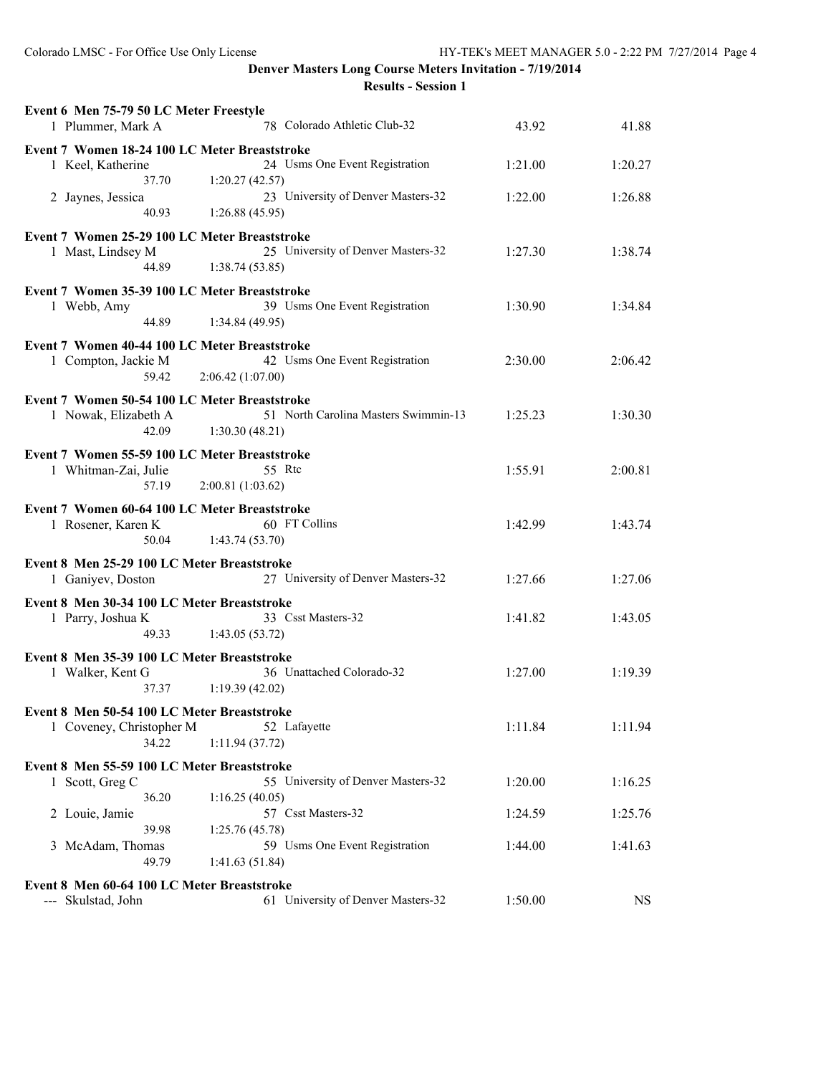| Event 6 Men 75-79 50 LC Meter Freestyle<br>78 Colorado Athletic Club-32<br>1 Plummer, Mark A                                             | 43.92   | 41.88     |
|------------------------------------------------------------------------------------------------------------------------------------------|---------|-----------|
| Event 7 Women 18-24 100 LC Meter Breaststroke<br>24 Usms One Event Registration<br>1 Keel, Katherine                                     | 1:21.00 | 1:20.27   |
| 37.70<br>1:20.27(42.57)<br>23 University of Denver Masters-32<br>2 Jaynes, Jessica<br>1:26.88(45.95)<br>40.93                            | 1:22.00 | 1:26.88   |
| Event 7 Women 25-29 100 LC Meter Breaststroke<br>25 University of Denver Masters-32<br>1 Mast, Lindsey M<br>44.89<br>1:38.74(53.85)      | 1:27.30 | 1:38.74   |
| Event 7 Women 35-39 100 LC Meter Breaststroke<br>39 Usms One Event Registration<br>1 Webb, Amy<br>44.89<br>1:34.84(49.95)                | 1:30.90 | 1:34.84   |
| Event 7 Women 40-44 100 LC Meter Breaststroke<br>42 Usms One Event Registration<br>1 Compton, Jackie M<br>2:06.42(1:07.00)<br>59.42      | 2:30.00 | 2:06.42   |
| Event 7 Women 50-54 100 LC Meter Breaststroke<br>51 North Carolina Masters Swimmin-13<br>1 Nowak, Elizabeth A<br>42.09<br>1:30.30(48.21) | 1:25.23 | 1:30.30   |
| Event 7 Women 55-59 100 LC Meter Breaststroke<br>55 Rtc<br>1 Whitman-Zai, Julie<br>2:00.81(1:03.62)<br>57.19                             | 1:55.91 | 2:00.81   |
| Event 7 Women 60-64 100 LC Meter Breaststroke<br>60 FT Collins<br>1 Rosener, Karen K<br>50.04<br>1:43.74(53.70)                          | 1:42.99 | 1:43.74   |
| Event 8 Men 25-29 100 LC Meter Breaststroke<br>27 University of Denver Masters-32<br>1 Ganiyev, Doston                                   | 1:27.66 | 1:27.06   |
| Event 8 Men 30-34 100 LC Meter Breaststroke<br>33 Csst Masters-32<br>1 Parry, Joshua K<br>1:43.05(53.72)<br>49.33                        | 1:41.82 | 1:43.05   |
| Event 8 Men 35-39 100 LC Meter Breaststroke<br>36 Unattached Colorado-32<br>1 Walker, Kent G<br>37.37<br>1:19.39(42.02)                  | 1:27.00 | 1:19.39   |
| Event 8 Men 50-54 100 LC Meter Breaststroke<br>52 Lafayette<br>1 Coveney, Christopher M<br>34.22<br>1:11.94(37.72)                       | 1:11.84 | 1:11.94   |
| Event 8 Men 55-59 100 LC Meter Breaststroke<br>55 University of Denver Masters-32<br>1 Scott, Greg C                                     | 1:20.00 | 1:16.25   |
| 36.20<br>1:16.25(40.05)<br>57 Csst Masters-32<br>2 Louie, Jamie                                                                          | 1:24.59 | 1:25.76   |
| 39.98<br>1:25.76(45.78)<br>59 Usms One Event Registration<br>3 McAdam, Thomas<br>49.79<br>1:41.63(51.84)                                 | 1:44.00 | 1:41.63   |
| Event 8 Men 60-64 100 LC Meter Breaststroke<br>61 University of Denver Masters-32<br>--- Skulstad, John                                  | 1:50.00 | <b>NS</b> |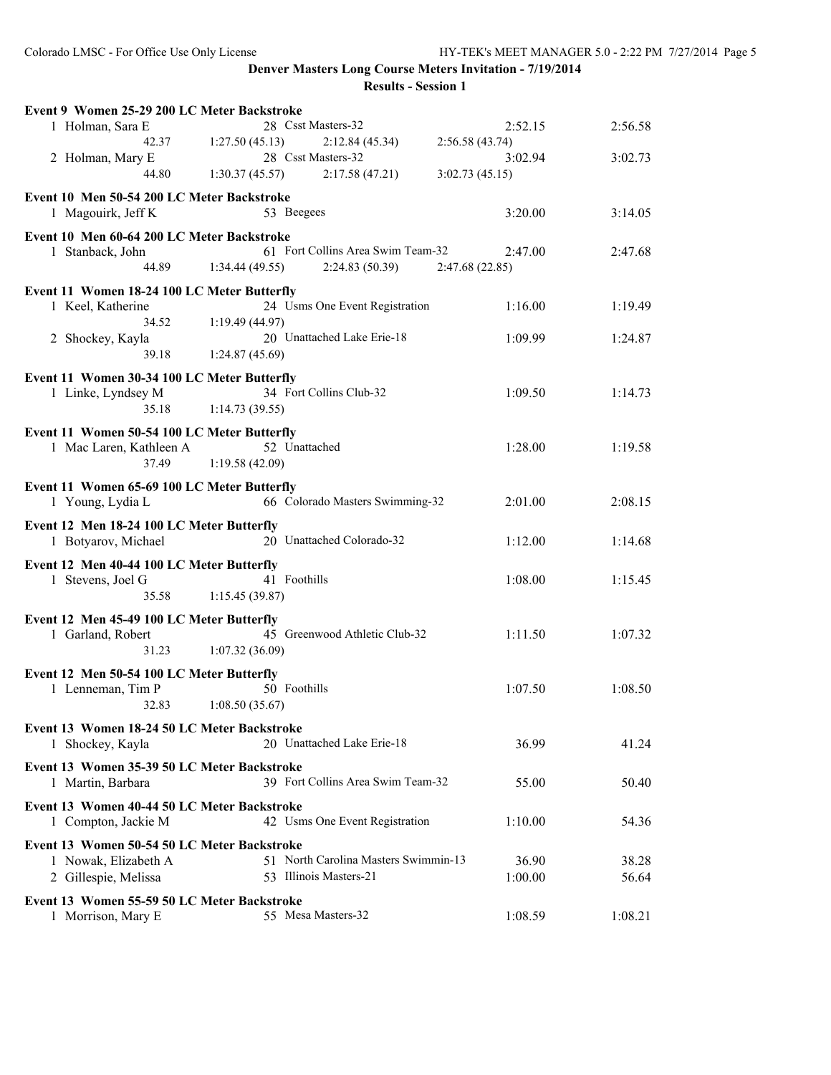| Event 9 Women 25-29 200 LC Meter Backstroke                         |                                      |                |         |
|---------------------------------------------------------------------|--------------------------------------|----------------|---------|
| 1 Holman, Sara E                                                    | 28 Csst Masters-32                   | 2:52.15        | 2:56.58 |
| 42.37                                                               | 1:27.50(45.13)<br>2:12.84(45.34)     | 2:56.58(43.74) |         |
| 2 Holman, Mary E                                                    | 28 Csst Masters-32                   | 3:02.94        | 3:02.73 |
| 44.80                                                               | 1:30.37(45.57)<br>2:17.58(47.21)     | 3:02.73(45.15) |         |
| Event 10 Men 50-54 200 LC Meter Backstroke                          |                                      |                |         |
| 1 Magouirk, Jeff K                                                  | 53 Beegees                           | 3:20.00        | 3:14.05 |
|                                                                     |                                      |                |         |
| Event 10 Men 60-64 200 LC Meter Backstroke                          | 61 Fort Collins Area Swim Team-32    | 2:47.00        |         |
| 1 Stanback, John<br>44.89                                           | 1:34.44(49.55)<br>2:24.83(50.39)     | 2:47.68(22.85) | 2:47.68 |
|                                                                     |                                      |                |         |
| Event 11 Women 18-24 100 LC Meter Butterfly                         |                                      |                |         |
| 1 Keel, Katherine                                                   | 24 Usms One Event Registration       | 1:16.00        | 1:19.49 |
| 34.52                                                               | 1:19.49(44.97)                       |                |         |
| 2 Shockey, Kayla                                                    | 20 Unattached Lake Erie-18           | 1:09.99        | 1:24.87 |
| 39.18                                                               | 1:24.87(45.69)                       |                |         |
| Event 11 Women 30-34 100 LC Meter Butterfly                         |                                      |                |         |
| 1 Linke, Lyndsey M                                                  | 34 Fort Collins Club-32              | 1:09.50        | 1:14.73 |
| 35.18                                                               | 1:14.73(39.55)                       |                |         |
| Event 11 Women 50-54 100 LC Meter Butterfly                         |                                      |                |         |
| 1 Mac Laren, Kathleen A                                             | 52 Unattached                        | 1:28.00        | 1:19.58 |
| 37.49                                                               | 1:19.58(42.09)                       |                |         |
|                                                                     |                                      |                |         |
| Event 11 Women 65-69 100 LC Meter Butterfly                         |                                      |                |         |
| 1 Young, Lydia L                                                    | 66 Colorado Masters Swimming-32      | 2:01.00        | 2:08.15 |
| Event 12 Men 18-24 100 LC Meter Butterfly                           |                                      |                |         |
| 1 Botyarov, Michael                                                 | 20 Unattached Colorado-32            | 1:12.00        | 1:14.68 |
|                                                                     |                                      |                |         |
|                                                                     |                                      |                |         |
| Event 12 Men 40-44 100 LC Meter Butterfly                           |                                      |                |         |
| 1 Stevens, Joel G                                                   | 41 Foothills                         | 1:08.00        | 1:15.45 |
| 35.58                                                               | 1:15.45(39.87)                       |                |         |
| Event 12 Men 45-49 100 LC Meter Butterfly                           |                                      |                |         |
| 1 Garland, Robert                                                   | 45 Greenwood Athletic Club-32        | 1:11.50        | 1:07.32 |
| 31.23                                                               | 1:07.32(36.09)                       |                |         |
| Event 12 Men 50-54 100 LC Meter Butterfly                           |                                      |                |         |
| 1 Lenneman, Tim P                                                   | 50 Foothills                         | 1:07.50        | 1:08.50 |
| 32.83                                                               | 1:08.50(35.67)                       |                |         |
|                                                                     |                                      |                |         |
| Event 13 Women 18-24 50 LC Meter Backstroke                         | 20 Unattached Lake Erie-18           |                | 41.24   |
| 1 Shockey, Kayla                                                    |                                      | 36.99          |         |
| Event 13 Women 35-39 50 LC Meter Backstroke                         |                                      |                |         |
| 1 Martin, Barbara                                                   | 39 Fort Collins Area Swim Team-32    | 55.00          | 50.40   |
| Event 13 Women 40-44 50 LC Meter Backstroke                         |                                      |                |         |
| 1 Compton, Jackie M                                                 | 42 Usms One Event Registration       | 1:10.00        | 54.36   |
|                                                                     |                                      |                |         |
| Event 13 Women 50-54 50 LC Meter Backstroke<br>1 Nowak, Elizabeth A | 51 North Carolina Masters Swimmin-13 | 36.90          | 38.28   |
|                                                                     | 53 Illinois Masters-21               | 1:00.00        | 56.64   |
| 2 Gillespie, Melissa                                                |                                      |                |         |
| Event 13 Women 55-59 50 LC Meter Backstroke<br>1 Morrison, Mary E   | 55 Mesa Masters-32                   | 1:08.59        | 1:08.21 |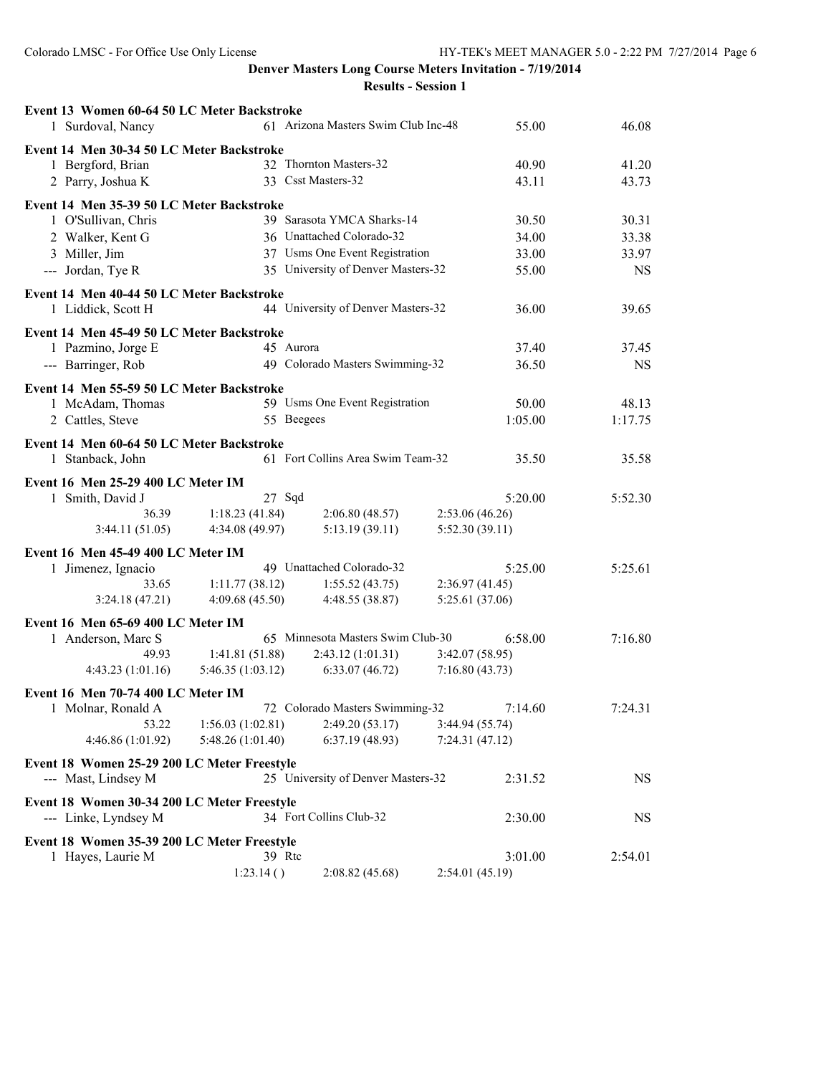| Event 13 Women 60-64 50 LC Meter Backstroke              |                                  |                                     |                                  |           |
|----------------------------------------------------------|----------------------------------|-------------------------------------|----------------------------------|-----------|
| 1 Surdoval, Nancy                                        |                                  | 61 Arizona Masters Swim Club Inc-48 | 55.00                            | 46.08     |
| Event 14 Men 30-34 50 LC Meter Backstroke                |                                  |                                     |                                  |           |
| 1 Bergford, Brian                                        |                                  | 32 Thornton Masters-32              | 40.90                            | 41.20     |
| 2 Parry, Joshua K                                        |                                  | 33 Csst Masters-32                  | 43.11                            | 43.73     |
| Event 14 Men 35-39 50 LC Meter Backstroke                |                                  |                                     |                                  |           |
| 1 O'Sullivan, Chris                                      |                                  | 39 Sarasota YMCA Sharks-14          | 30.50                            | 30.31     |
| 2 Walker, Kent G                                         |                                  | 36 Unattached Colorado-32           | 34.00                            | 33.38     |
| 3 Miller, Jim                                            |                                  | 37 Usms One Event Registration      | 33.00                            | 33.97     |
| --- Jordan, Tye R                                        |                                  | 35 University of Denver Masters-32  | 55.00                            | <b>NS</b> |
| Event 14 Men 40-44 50 LC Meter Backstroke                |                                  |                                     |                                  |           |
| 1 Liddick, Scott H                                       |                                  | 44 University of Denver Masters-32  | 36.00                            | 39.65     |
| Event 14 Men 45-49 50 LC Meter Backstroke                |                                  |                                     |                                  |           |
| 1 Pazmino, Jorge E                                       |                                  | 45 Aurora                           | 37.40                            | 37.45     |
| --- Barringer, Rob                                       |                                  | 49 Colorado Masters Swimming-32     | 36.50                            | <b>NS</b> |
| Event 14 Men 55-59 50 LC Meter Backstroke                |                                  |                                     |                                  |           |
| 1 McAdam, Thomas                                         |                                  | 59 Usms One Event Registration      | 50.00                            | 48.13     |
| 2 Cattles, Steve                                         |                                  | 55 Beegees                          | 1:05.00                          | 1:17.75   |
| Event 14 Men 60-64 50 LC Meter Backstroke                |                                  |                                     |                                  |           |
| 1 Stanback, John                                         |                                  | 61 Fort Collins Area Swim Team-32   | 35.50                            | 35.58     |
|                                                          |                                  |                                     |                                  |           |
| Event 16 Men 25-29 400 LC Meter IM                       |                                  |                                     |                                  |           |
| 1 Smith, David J<br>36.39                                |                                  | 27 Sqd                              | 5:20.00                          | 5:52.30   |
| 3:44.11(51.05)                                           | 1:18.23(41.84)<br>4:34.08(49.97) | 2:06.80(48.57)<br>5:13.19(39.11)    | 2:53.06(46.26)<br>5:52.30(39.11) |           |
|                                                          |                                  |                                     |                                  |           |
| Event 16 Men 45-49 400 LC Meter IM                       |                                  | 49 Unattached Colorado-32           | 5:25.00                          | 5:25.61   |
| 1 Jimenez, Ignacio<br>33.65                              | 1:11.77(38.12)                   | 1:55.52(43.75)                      | 2:36.97(41.45)                   |           |
| 3:24.18(47.21)                                           | 4:09.68(45.50)                   | 4:48.55 (38.87)                     | 5:25.61 (37.06)                  |           |
|                                                          |                                  |                                     |                                  |           |
| Event 16 Men 65-69 400 LC Meter IM                       |                                  | 65 Minnesota Masters Swim Club-30   | 6:58.00                          | 7:16.80   |
| 1 Anderson, Marc S<br>49.93                              | 1:41.81(51.88)                   | 2:43.12(1:01.31)                    | 3:42.07(58.95)                   |           |
| 4:43.23(1:01.16)                                         | 5:46.35(1:03.12)                 | 6:33.07(46.72)                      | 7:16.80(43.73)                   |           |
|                                                          |                                  |                                     |                                  |           |
| Event 16 Men 70-74 400 LC Meter IM<br>1 Molnar, Ronald A |                                  | 72 Colorado Masters Swimming-32     | 7:14.60                          | 7:24.31   |
| 53.22                                                    | 1:56.03(1:02.81)                 | 2:49.20 (53.17)                     | 3:44.94 (55.74)                  |           |
| 4:46.86 (1:01.92)                                        | 5:48.26 (1:01.40)                | 6:37.19 (48.93)                     | 7:24.31(47.12)                   |           |
| Event 18 Women 25-29 200 LC Meter Freestyle              |                                  |                                     |                                  |           |
| --- Mast, Lindsey M                                      |                                  | 25 University of Denver Masters-32  | 2:31.52                          | <b>NS</b> |
|                                                          |                                  |                                     |                                  |           |
| Event 18 Women 30-34 200 LC Meter Freestyle              |                                  |                                     |                                  |           |
| --- Linke, Lyndsey M                                     |                                  | 34 Fort Collins Club-32             | 2:30.00                          | <b>NS</b> |
| Event 18 Women 35-39 200 LC Meter Freestyle              |                                  |                                     |                                  |           |
| 1 Hayes, Laurie M                                        | 39 Rtc                           |                                     | 3:01.00                          | 2:54.01   |
|                                                          | 1:23.14()                        | 2:08.82(45.68)                      | 2:54.01 (45.19)                  |           |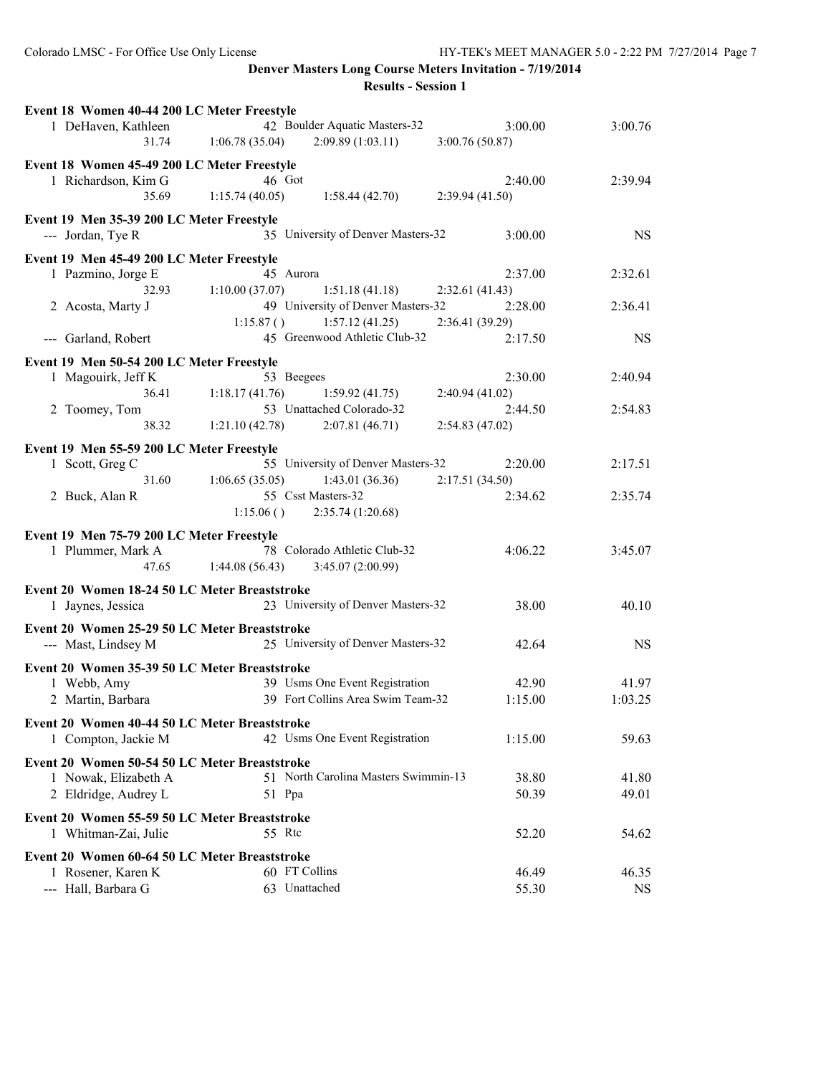| Event 18 Women 40-44 200 LC Meter Freestyle   |                |                                      |                 |           |
|-----------------------------------------------|----------------|--------------------------------------|-----------------|-----------|
| 1 DeHaven, Kathleen                           |                | 42 Boulder Aquatic Masters-32        | 3:00.00         | 3:00.76   |
| 31.74                                         | 1:06.78(35.04) | 2:09.89(1:03.11)                     | 3:00.76 (50.87) |           |
| Event 18 Women 45-49 200 LC Meter Freestyle   |                |                                      |                 |           |
| 1 Richardson, Kim G                           |                | 46 Got                               | 2:40.00         | 2:39.94   |
| 35.69                                         | 1:15.74(40.05) | 1:58.44(42.70)                       | 2:39.94(41.50)  |           |
|                                               |                |                                      |                 |           |
| Event 19 Men 35-39 200 LC Meter Freestyle     |                |                                      |                 |           |
| --- Jordan, Tye R                             |                | 35 University of Denver Masters-32   | 3:00.00         | <b>NS</b> |
| Event 19 Men 45-49 200 LC Meter Freestyle     |                |                                      |                 |           |
| 1 Pazmino, Jorge E                            |                | 45 Aurora                            | 2:37.00         | 2:32.61   |
| 32.93                                         | 1:10.00(37.07) | 1:51.18(41.18)                       | 2:32.61(41.43)  |           |
| 2 Acosta, Marty J                             |                | 49 University of Denver Masters-32   | 2:28.00         | 2:36.41   |
|                                               | 1:15.87()      | 1:57.12(41.25)                       | 2:36.41 (39.29) |           |
| --- Garland, Robert                           |                | 45 Greenwood Athletic Club-32        | 2:17.50         | <b>NS</b> |
| Event 19 Men 50-54 200 LC Meter Freestyle     |                |                                      |                 |           |
| 1 Magouirk, Jeff K                            |                | 53 Beegees                           | 2:30.00         | 2:40.94   |
| 36.41                                         | 1:18.17(41.76) | 1:59.92(41.75)                       | 2:40.94 (41.02) |           |
| 2 Toomey, Tom                                 |                | 53 Unattached Colorado-32            | 2:44.50         | 2:54.83   |
| 38.32                                         | 1:21.10(42.78) | 2:07.81(46.71)                       | 2:54.83 (47.02) |           |
|                                               |                |                                      |                 |           |
| Event 19 Men 55-59 200 LC Meter Freestyle     |                |                                      |                 |           |
| 1 Scott, Greg C                               |                | 55 University of Denver Masters-32   | 2:20.00         | 2:17.51   |
| 31.60                                         | 1:06.65(35.05) | 1:43.01(36.36)                       | 2:17.51(34.50)  |           |
| 2 Buck, Alan R                                |                | 55 Csst Masters-32                   | 2:34.62         | 2:35.74   |
|                                               | 1:15.06()      | 2:35.74(1:20.68)                     |                 |           |
| Event 19 Men 75-79 200 LC Meter Freestyle     |                |                                      |                 |           |
| 1 Plummer, Mark A                             |                | 78 Colorado Athletic Club-32         | 4:06.22         | 3:45.07   |
| 47.65                                         | 1:44.08(56.43) | 3:45.07(2:00.99)                     |                 |           |
|                                               |                |                                      |                 |           |
| Event 20 Women 18-24 50 LC Meter Breaststroke |                |                                      |                 |           |
| 1 Jaynes, Jessica                             |                | 23 University of Denver Masters-32   | 38.00           | 40.10     |
| Event 20 Women 25-29 50 LC Meter Breaststroke |                |                                      |                 |           |
| --- Mast, Lindsey M                           |                | 25 University of Denver Masters-32   | 42.64           | <b>NS</b> |
|                                               |                |                                      |                 |           |
| Event 20 Women 35-39 50 LC Meter Breaststroke |                |                                      |                 |           |
| 1 Webb, Amy                                   |                | 39 Usms One Event Registration       | 42.90           | 41.97     |
| 2 Martin, Barbara                             |                | 39 Fort Collins Area Swim Team-32    | 1:15.00         | 1:03.25   |
| Event 20 Women 40-44 50 LC Meter Breaststroke |                |                                      |                 |           |
| 1 Compton, Jackie M                           |                | 42 Usms One Event Registration       | 1:15.00         | 59.63     |
|                                               |                |                                      |                 |           |
| Event 20 Women 50-54 50 LC Meter Breaststroke |                |                                      |                 |           |
| 1 Nowak, Elizabeth A                          |                | 51 North Carolina Masters Swimmin-13 | 38.80           | 41.80     |
| 2 Eldridge, Audrey L                          |                | 51 Ppa                               | 50.39           | 49.01     |
| Event 20 Women 55-59 50 LC Meter Breaststroke |                |                                      |                 |           |
| 1 Whitman-Zai, Julie                          |                | 55 Rtc                               | 52.20           | 54.62     |
|                                               |                |                                      |                 |           |
| Event 20 Women 60-64 50 LC Meter Breaststroke |                |                                      |                 |           |
| 1 Rosener, Karen K                            |                | 60 FT Collins                        | 46.49           | 46.35     |
| --- Hall, Barbara G                           |                | 63 Unattached                        | 55.30           | <b>NS</b> |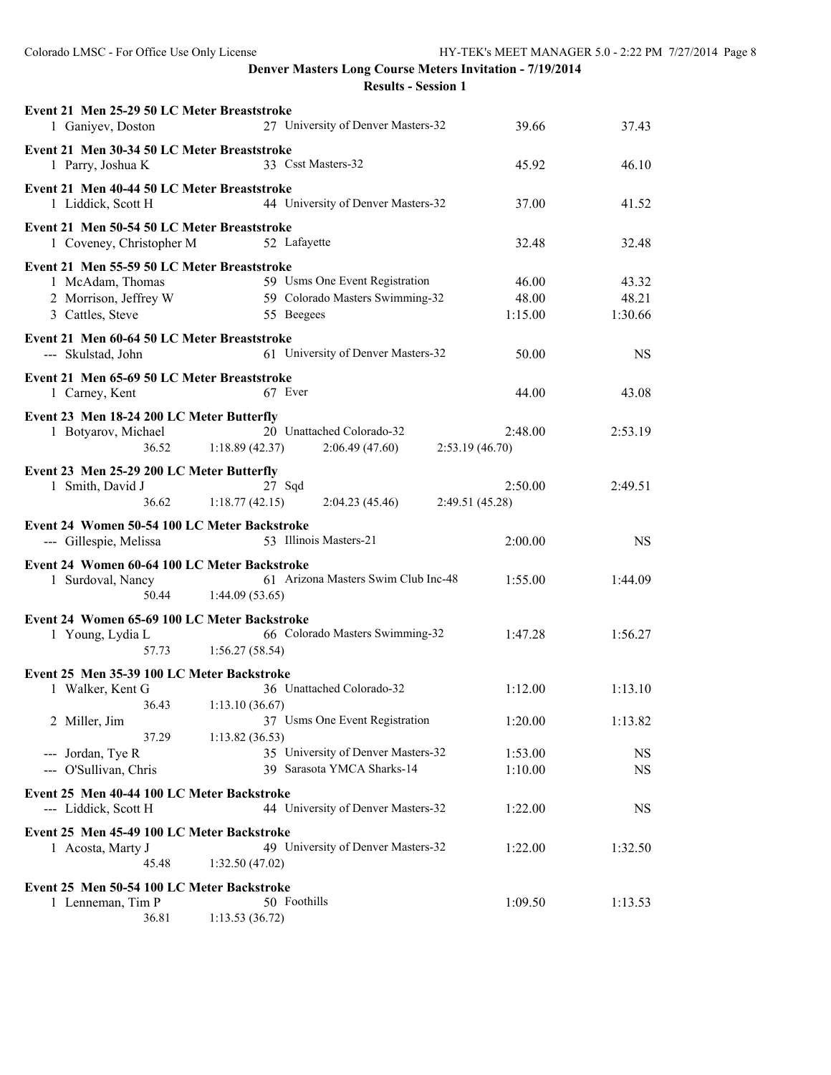| Event 21 Men 25-29 50 LC Meter Breaststroke<br>1 Ganiyev, Doston       | 27 University of Denver Masters-32                | 39.66           | 37.43     |
|------------------------------------------------------------------------|---------------------------------------------------|-----------------|-----------|
| Event 21 Men 30-34 50 LC Meter Breaststroke<br>1 Parry, Joshua K       | 33 Csst Masters-32                                | 45.92           | 46.10     |
|                                                                        |                                                   |                 |           |
| Event 21 Men 40-44 50 LC Meter Breaststroke<br>1 Liddick, Scott H      | 44 University of Denver Masters-32                | 37.00           | 41.52     |
| Event 21 Men 50-54 50 LC Meter Breaststroke                            |                                                   |                 |           |
| 1 Coveney, Christopher M                                               | 52 Lafayette                                      | 32.48           | 32.48     |
| Event 21 Men 55-59 50 LC Meter Breaststroke                            |                                                   |                 |           |
| 1 McAdam, Thomas                                                       | 59 Usms One Event Registration                    | 46.00           | 43.32     |
| 2 Morrison, Jeffrey W                                                  | 59 Colorado Masters Swimming-32                   | 48.00           | 48.21     |
| 3 Cattles, Steve                                                       | 55 Beegees                                        | 1:15.00         | 1:30.66   |
| Event 21 Men 60-64 50 LC Meter Breaststroke                            |                                                   |                 |           |
| --- Skulstad, John                                                     | 61 University of Denver Masters-32                | 50.00           | <b>NS</b> |
| Event 21 Men 65-69 50 LC Meter Breaststroke                            |                                                   |                 |           |
| 1 Carney, Kent                                                         | 67 Ever                                           | 44.00           | 43.08     |
| Event 23 Men 18-24 200 LC Meter Butterfly                              |                                                   |                 |           |
| 1 Botyarov, Michael                                                    | 20 Unattached Colorado-32                         | 2:48.00         | 2:53.19   |
| 36.52                                                                  | 1:18.89(42.37)<br>2:06.49(47.60)                  | 2:53.19(46.70)  |           |
| Event 23 Men 25-29 200 LC Meter Butterfly                              |                                                   |                 |           |
| 1 Smith, David J                                                       | 27 Sqd                                            | 2:50.00         | 2:49.51   |
| 36.62                                                                  | 1:18.77(42.15)<br>2:04.23(45.46)                  | 2:49.51 (45.28) |           |
|                                                                        |                                                   |                 |           |
|                                                                        |                                                   |                 |           |
| Event 24 Women 50-54 100 LC Meter Backstroke<br>--- Gillespie, Melissa | 53 Illinois Masters-21                            | 2:00.00         | <b>NS</b> |
|                                                                        |                                                   |                 |           |
| Event 24 Women 60-64 100 LC Meter Backstroke                           | 61 Arizona Masters Swim Club Inc-48               | 1:55.00         | 1:44.09   |
| 1 Surdoval, Nancy<br>50.44                                             | 1:44.09(53.65)                                    |                 |           |
|                                                                        |                                                   |                 |           |
| Event 24 Women 65-69 100 LC Meter Backstroke                           |                                                   |                 | 1:56.27   |
| 1 Young, Lydia L<br>57.73                                              | 66 Colorado Masters Swimming-32<br>1:56.27(58.54) | 1:47.28         |           |
|                                                                        |                                                   |                 |           |
| Event 25 Men 35-39 100 LC Meter Backstroke                             |                                                   |                 |           |
| 1 Walker, Kent G                                                       | 36 Unattached Colorado-32                         | 1:12.00         | 1:13.10   |
| 36.43                                                                  | 1:13.10(36.67)                                    |                 |           |
| 2 Miller, Jim                                                          | 37 Usms One Event Registration                    | 1:20.00         | 1:13.82   |
| 37.29                                                                  | 1:13.82(36.53)                                    |                 |           |
| --- Jordan, Tye R                                                      | 35 University of Denver Masters-32                | 1:53.00         | <b>NS</b> |
| --- O'Sullivan, Chris                                                  | 39 Sarasota YMCA Sharks-14                        | 1:10.00         | <b>NS</b> |
| Event 25 Men 40-44 100 LC Meter Backstroke                             |                                                   |                 |           |
| --- Liddick, Scott H                                                   | 44 University of Denver Masters-32                | 1:22.00         | NS        |
| Event 25 Men 45-49 100 LC Meter Backstroke                             |                                                   |                 |           |
| 1 Acosta, Marty J                                                      | 49 University of Denver Masters-32                | 1:22.00         | 1:32.50   |
| 45.48                                                                  | 1:32.50(47.02)                                    |                 |           |
| Event 25 Men 50-54 100 LC Meter Backstroke                             |                                                   |                 |           |
| 1 Lenneman, Tim P                                                      | 50 Foothills                                      | 1:09.50         | 1:13.53   |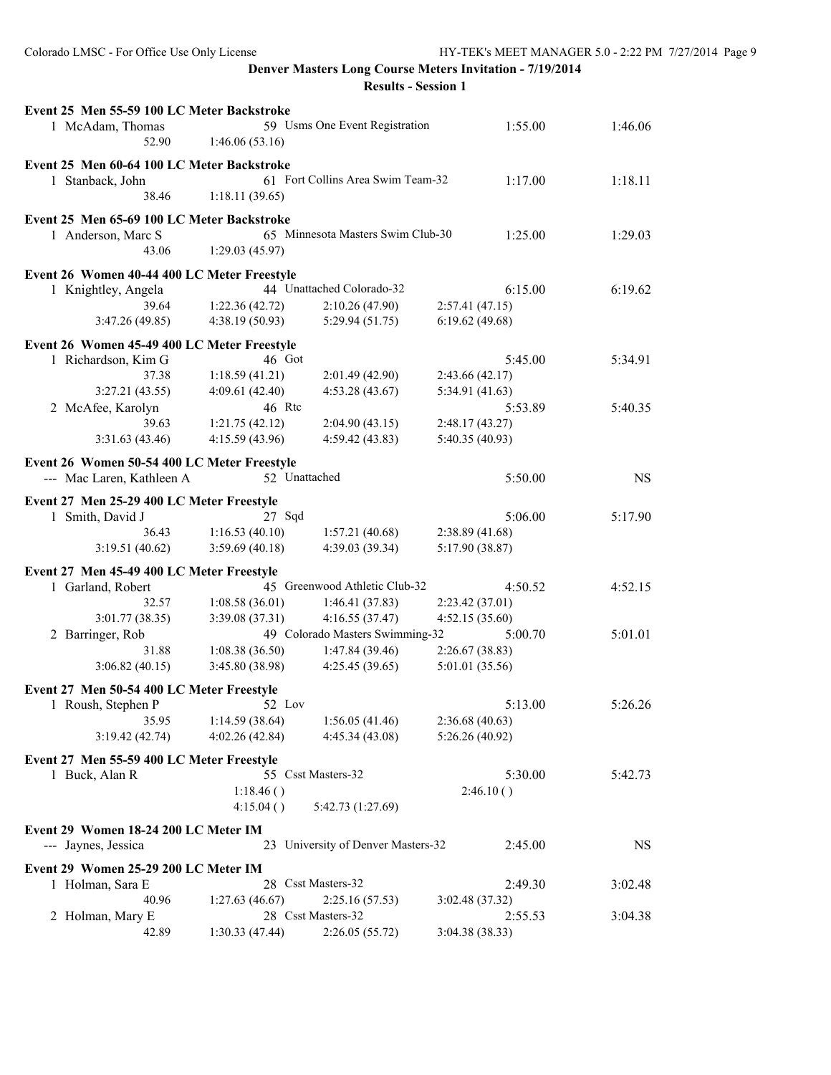| Event 25 Men 55-59 100 LC Meter Backstroke  |                 |                                    |                 |           |
|---------------------------------------------|-----------------|------------------------------------|-----------------|-----------|
| 1 McAdam, Thomas<br>52.90                   | 1:46.06(53.16)  | 59 Usms One Event Registration     | 1:55.00         | 1:46.06   |
|                                             |                 |                                    |                 |           |
| Event 25 Men 60-64 100 LC Meter Backstroke  |                 |                                    |                 |           |
| 1 Stanback, John                            |                 | 61 Fort Collins Area Swim Team-32  | 1:17.00         | 1:18.11   |
| 38.46                                       | 1:18.11(39.65)  |                                    |                 |           |
| Event 25 Men 65-69 100 LC Meter Backstroke  |                 |                                    |                 |           |
| 1 Anderson, Marc S                          |                 | 65 Minnesota Masters Swim Club-30  | 1:25.00         | 1:29.03   |
| 43.06                                       | 1:29.03(45.97)  |                                    |                 |           |
|                                             |                 |                                    |                 |           |
| Event 26 Women 40-44 400 LC Meter Freestyle |                 |                                    |                 |           |
| 1 Knightley, Angela                         |                 | 44 Unattached Colorado-32          | 6:15.00         | 6:19.62   |
| 39.64                                       | 1:22.36(42.72)  | 2:10.26(47.90)                     | 2:57.41(47.15)  |           |
| 3:47.26(49.85)                              | 4:38.19(50.93)  | 5:29.94(51.75)                     | 6:19.62(49.68)  |           |
| Event 26 Women 45-49 400 LC Meter Freestyle |                 |                                    |                 |           |
| 1 Richardson, Kim G                         | 46 Got          |                                    | 5:45.00         | 5:34.91   |
| 37.38                                       | 1:18.59(41.21)  | 2:01.49(42.90)                     | 2:43.66(42.17)  |           |
| 3:27.21(43.55)                              | 4:09.61 (42.40) | 4:53.28(43.67)                     | 5:34.91 (41.63) |           |
| 2 McAfee, Karolyn                           | 46 Rtc          |                                    | 5:53.89         | 5:40.35   |
| 39.63                                       | 1:21.75(42.12)  | 2:04.90(43.15)                     | 2:48.17(43.27)  |           |
| 3:31.63(43.46)                              | 4:15.59(43.96)  | 4:59.42 (43.83)                    | 5:40.35 (40.93) |           |
|                                             |                 |                                    |                 |           |
| Event 26 Women 50-54 400 LC Meter Freestyle | 52 Unattached   |                                    |                 | <b>NS</b> |
| --- Mac Laren, Kathleen A                   |                 |                                    | 5:50.00         |           |
| Event 27 Men 25-29 400 LC Meter Freestyle   |                 |                                    |                 |           |
| 1 Smith, David J                            | 27 Sqd          |                                    | 5:06.00         | 5:17.90   |
| 36.43                                       | 1:16.53(40.10)  | 1:57.21(40.68)                     | 2:38.89(41.68)  |           |
| 3:19.51(40.62)                              | 3:59.69(40.18)  | 4:39.03 (39.34)                    | 5:17.90 (38.87) |           |
| Event 27 Men 45-49 400 LC Meter Freestyle   |                 |                                    |                 |           |
| 1 Garland, Robert                           |                 | 45 Greenwood Athletic Club-32      | 4:50.52         | 4:52.15   |
| 32.57                                       | 1:08.58(36.01)  | 1:46.41(37.83)                     | 2:23.42 (37.01) |           |
| 3:01.77 (38.35)                             | 3:39.08(37.31)  | 4:16.55(37.47)                     | 4:52.15 (35.60) |           |
| 2 Barringer, Rob                            |                 | 49 Colorado Masters Swimming-32    | 5:00.70         | 5:01.01   |
| 31.88                                       | 1:08.38(36.50)  | 1:47.84(39.46)                     | 2:26.67(38.83)  |           |
| 3:06.82(40.15)                              | 3:45.80 (38.98) | 4:25.45(39.65)                     | 5:01.01 (35.56) |           |
|                                             |                 |                                    |                 |           |
| Event 27 Men 50-54 400 LC Meter Freestyle   |                 |                                    |                 |           |
| 1 Roush, Stephen P                          | 52 Lov          |                                    | 5:13.00         | 5:26.26   |
| 35.95                                       | 1:14.59(38.64)  | 1:56.05(41.46)                     | 2:36.68(40.63)  |           |
| 3:19.42(42.74)                              | 4:02.26(42.84)  | 4:45.34 (43.08)                    | 5:26.26 (40.92) |           |
| Event 27 Men 55-59 400 LC Meter Freestyle   |                 |                                    |                 |           |
| 1 Buck, Alan R                              |                 | 55 Csst Masters-32                 | 5:30.00         | 5:42.73   |
|                                             | 1:18.46()       |                                    | 2:46.10()       |           |
|                                             | 4:15.04()       | 5:42.73 (1:27.69)                  |                 |           |
|                                             |                 |                                    |                 |           |
| Event 29 Women 18-24 200 LC Meter IM        |                 |                                    |                 |           |
| --- Jaynes, Jessica                         |                 | 23 University of Denver Masters-32 | 2:45.00         | <b>NS</b> |
| Event 29 Women 25-29 200 LC Meter IM        |                 |                                    |                 |           |
| 1 Holman, Sara E                            |                 | 28 Csst Masters-32                 | 2:49.30         | 3:02.48   |
| 40.96                                       | 1:27.63(46.67)  | 2:25.16(57.53)                     | 3:02.48 (37.32) |           |
| Holman, Mary E<br>2                         |                 | 28 Csst Masters-32                 | 2:55.53         | 3:04.38   |
| 42.89                                       | 1:30.33(47.44)  | 2:26.05(55.72)                     | 3:04.38 (38.33) |           |
|                                             |                 |                                    |                 |           |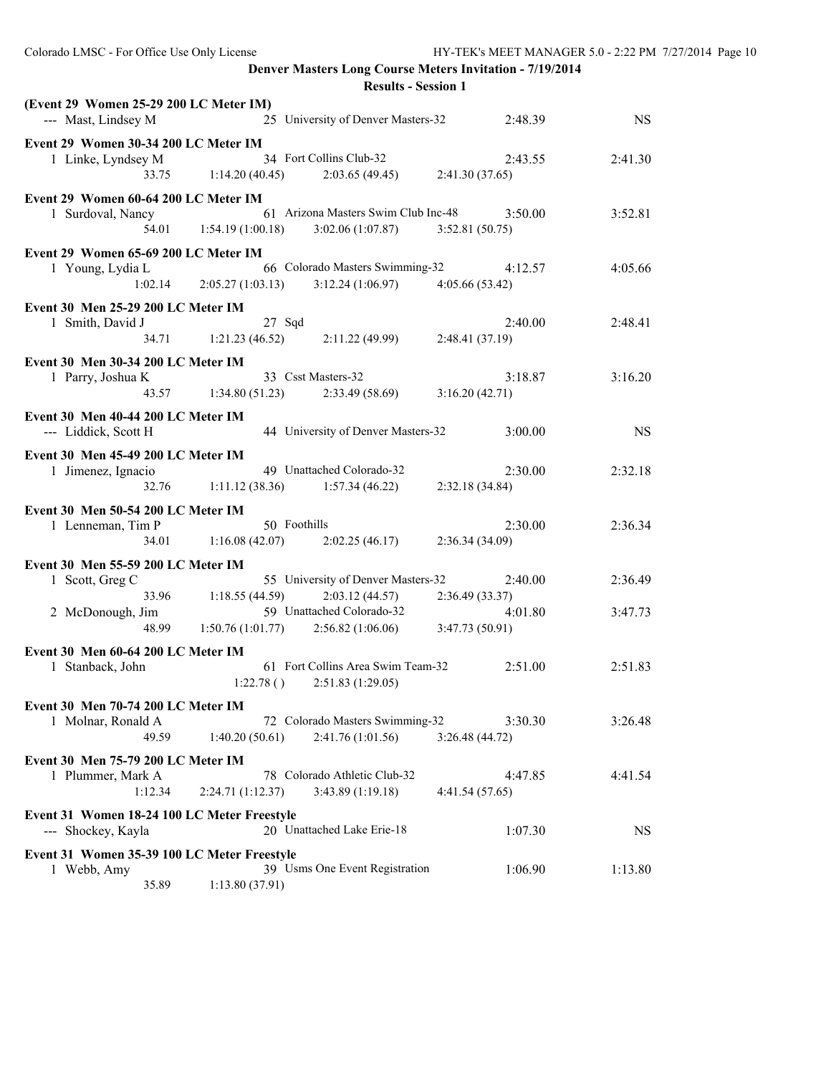| (Event 29 Women 25-29 200 LC Meter IM)<br>--- Mast, Lindsey M       | 25 University of Denver Masters-32<br>2:48.39                                                                      | <b>NS</b> |
|---------------------------------------------------------------------|--------------------------------------------------------------------------------------------------------------------|-----------|
| Event 29 Women 30-34 200 LC Meter IM                                | 1 Linke, Lyndsey M 34 Fort Collins Club-32<br>2:43.55<br>33.75 1:14.20 (40.45) 2:03.65 (49.45) 2:41.30 (37.65)     | 2:41.30   |
| Event 29 Women 60-64 200 LC Meter IM<br>1 Surdoval, Nancy           | 61 Arizona Masters Swim Club Inc-48 3:50.00<br>54.01   1:54.19 (1:00.18)   3:02.06 (1:07.87)   3:52.81 (50.75)     | 3:52.81   |
| Event 29 Women 65-69 200 LC Meter IM<br>1 Young, Lydia L            | ia L 66 Colorado Masters Swimming-32 4:12.57<br>1:02.14 2:05.27 (1:03.13) 3:12.24 (1:06.97) 4:05.66 (53.42)        | 4:05.66   |
| Event 30 Men 25-29 200 LC Meter IM<br>1 Smith, David J              | $27$ Sqd<br>2:40.00<br>34.71 1:21.23 (46.52) 2:11.22 (49.99) 2:48.41 (37.19)                                       | 2:48.41   |
| Event 30 Men 30-34 200 LC Meter IM<br>1 Parry, Joshua K             | 33 Csst Masters-32<br>3:18.87<br>43.57 1:34.80 (51.23) 2:33.49 (58.69) 3:16.20 (42.71)                             | 3:16.20   |
| Event 30 Men 40-44 200 LC Meter IM<br>--- Liddick, Scott H          | 44 University of Denver Masters-32<br>3:00.00                                                                      | <b>NS</b> |
| Event 30 Men 45-49 200 LC Meter IM<br>1 Jimenez, Ignacio            | 49 Unattached Colorado-32<br>2:30.00<br>32.76 1:11.12 (38.36) 1:57.34 (46.22) 2:32.18 (34.84)                      | 2:32.18   |
| Event 30 Men 50-54 200 LC Meter IM<br>1 Lenneman, Tim P             | 50 Foothills<br>2:30.00<br>34.01 1:16.08 (42.07) 2:02.25 (46.17) 2:36.34 (34.09)                                   | 2:36.34   |
| Event 30 Men 55-59 200 LC Meter IM<br>1 Scott, Greg C               | 55 University of Denver Masters-32 2:40.00<br>33.96 1:18.55 (44.59) 2:03.12 (44.57) 2:36.49 (33.37)                | 2:36.49   |
| 2 McDonough, Jim                                                    | 1:50.76 (1:01.77) 59 Unattached Colorado-32<br>4:99 1:50.76 (1:01.77) 2:56.82 (1:06.06) 3:47.73 (50.91)<br>4:01.80 | 3:47.73   |
| Event 30 Men 60-64 200 LC Meter IM<br>1 Stanback, John              | 61 Fort Collins Area Swim Team-32<br>2:51.00<br>$1:22.78()$ $2:51.83(1:29.05)$                                     | 2:51.83   |
| Event 30 Men 70-74 200 LC Meter IM<br>1 Molnar, Ronald A<br>49.59   | 72 Colorado Masters Swimming-32<br>3:30.30<br>2:41.76 (1:01.56)<br>1:40.20(50.61)<br>3:26.48(44.72)                | 3:26.48   |
| Event 30 Men 75-79 200 LC Meter IM<br>1 Plummer, Mark A<br>1:12.34  | 78 Colorado Athletic Club-32<br>4:47.85<br>2:24.71 (1:12.37)<br>3:43.89 (1:19.18)<br>4:41.54 (57.65)               | 4:41.54   |
| Event 31 Women 18-24 100 LC Meter Freestyle<br>--- Shockey, Kayla   | 20 Unattached Lake Erie-18<br>1:07.30                                                                              | <b>NS</b> |
| Event 31 Women 35-39 100 LC Meter Freestyle<br>1 Webb, Amy<br>35.89 | 39 Usms One Event Registration<br>1:06.90<br>1:13.80(37.91)                                                        | 1:13.80   |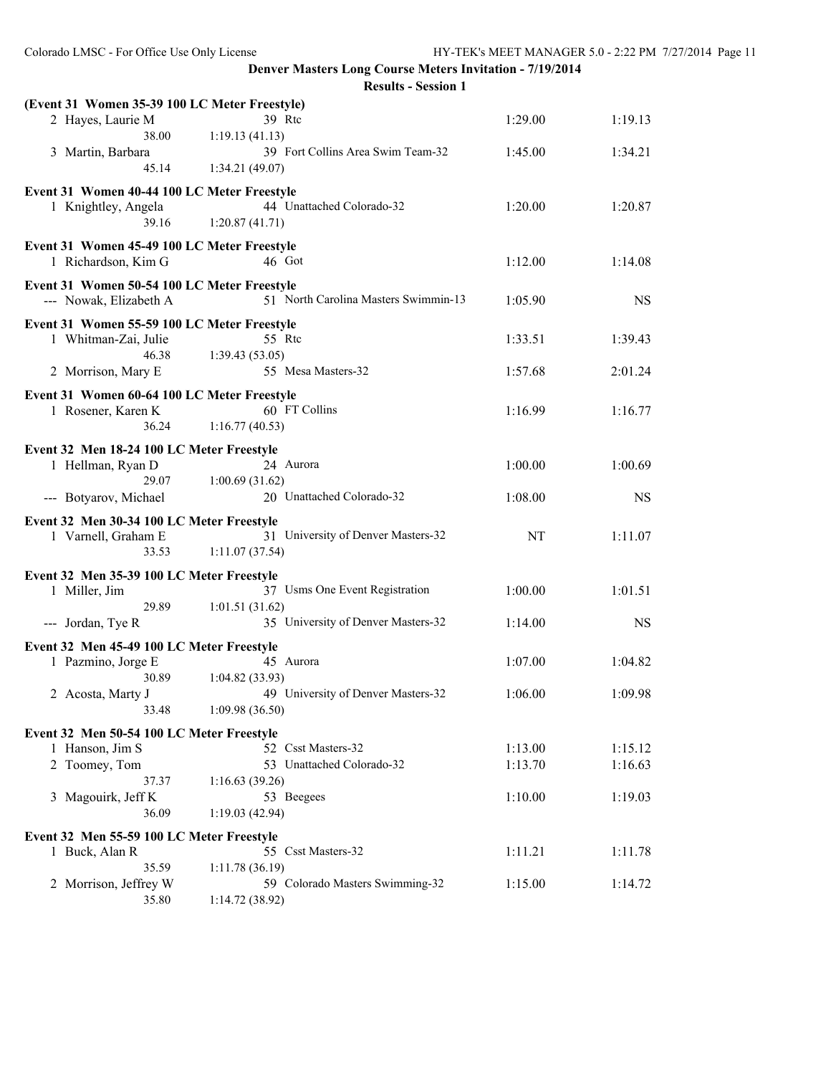**Denver Masters Long Course Meters Invitation - 7/19/2014**

**Results - Session 1**

| (Event 31 Women 35-39 100 LC Meter Freestyle) |                                      |         |           |
|-----------------------------------------------|--------------------------------------|---------|-----------|
| 2 Hayes, Laurie M                             | 39 Rtc                               | 1:29.00 | 1:19.13   |
| 38.00                                         | 1:19.13(41.13)                       |         |           |
| 3 Martin, Barbara                             | 39 Fort Collins Area Swim Team-32    | 1:45.00 | 1:34.21   |
| 45.14                                         | 1:34.21(49.07)                       |         |           |
| Event 31 Women 40-44 100 LC Meter Freestyle   |                                      |         |           |
| 1 Knightley, Angela                           | 44 Unattached Colorado-32            | 1:20.00 | 1:20.87   |
| 39.16                                         | 1:20.87(41.71)                       |         |           |
|                                               |                                      |         |           |
| Event 31 Women 45-49 100 LC Meter Freestyle   |                                      |         |           |
| 1 Richardson, Kim G                           | 46 Got                               | 1:12.00 | 1:14.08   |
| Event 31 Women 50-54 100 LC Meter Freestyle   |                                      |         |           |
| --- Nowak, Elizabeth A                        | 51 North Carolina Masters Swimmin-13 | 1:05.90 | <b>NS</b> |
|                                               |                                      |         |           |
| Event 31 Women 55-59 100 LC Meter Freestyle   | 55 Rtc                               | 1:33.51 |           |
| 1 Whitman-Zai, Julie<br>46.38                 | 1:39.43(53.05)                       |         | 1:39.43   |
| 2 Morrison, Mary E                            | 55 Mesa Masters-32                   | 1:57.68 | 2:01.24   |
|                                               |                                      |         |           |
| Event 31 Women 60-64 100 LC Meter Freestyle   |                                      |         |           |
| 1 Rosener, Karen K                            | 60 FT Collins                        | 1:16.99 | 1:16.77   |
| 36.24                                         | 1:16.77(40.53)                       |         |           |
| Event 32 Men 18-24 100 LC Meter Freestyle     |                                      |         |           |
| 1 Hellman, Ryan D                             | 24 Aurora                            | 1:00.00 | 1:00.69   |
| 29.07                                         | 1:00.69(31.62)                       |         |           |
| --- Botyarov, Michael                         | 20 Unattached Colorado-32            | 1:08.00 | <b>NS</b> |
|                                               |                                      |         |           |
| Event 32 Men 30-34 100 LC Meter Freestyle     |                                      |         |           |
| 1 Varnell, Graham E                           | 31 University of Denver Masters-32   | NT      | 1:11.07   |
| 33.53                                         | 1:11.07(37.54)                       |         |           |
| Event 32 Men 35-39 100 LC Meter Freestyle     |                                      |         |           |
| 1 Miller, Jim                                 | 37 Usms One Event Registration       | 1:00.00 | 1:01.51   |
| 29.89                                         | 1:01.51(31.62)                       |         |           |
| --- Jordan, Tye R                             | 35 University of Denver Masters-32   | 1:14.00 | <b>NS</b> |
| Event 32 Men 45-49 100 LC Meter Freestyle     |                                      |         |           |
| 1 Pazmino, Jorge E                            | 45 Aurora                            | 1:07.00 | 1:04.82   |
| 30.89                                         | 1:04.82(33.93)                       |         |           |
| 2 Acosta, Marty J                             | 49 University of Denver Masters-32   | 1:06.00 | 1:09.98   |
| 33.48                                         | 1:09.98(36.50)                       |         |           |
|                                               |                                      |         |           |
| Event 32 Men 50-54 100 LC Meter Freestyle     |                                      |         |           |
| 1 Hanson, Jim S                               | 52 Csst Masters-32                   | 1:13.00 | 1:15.12   |
| 2 Toomey, Tom                                 | 53 Unattached Colorado-32            | 1:13.70 | 1:16.63   |
| 37.37                                         | 1:16.63(39.26)                       |         |           |
| 3 Magouirk, Jeff K                            | 53 Beegees                           | 1:10.00 | 1:19.03   |
| 36.09                                         | 1:19.03(42.94)                       |         |           |
| Event 32 Men 55-59 100 LC Meter Freestyle     |                                      |         |           |
| 1 Buck, Alan R                                | 55 Csst Masters-32                   | 1:11.21 | 1:11.78   |
| 35.59                                         | 1:11.78(36.19)                       |         |           |
| Morrison, Jeffrey W<br>2                      | 59 Colorado Masters Swimming-32      | 1:15.00 | 1:14.72   |
| 35.80                                         | 1:14.72 (38.92)                      |         |           |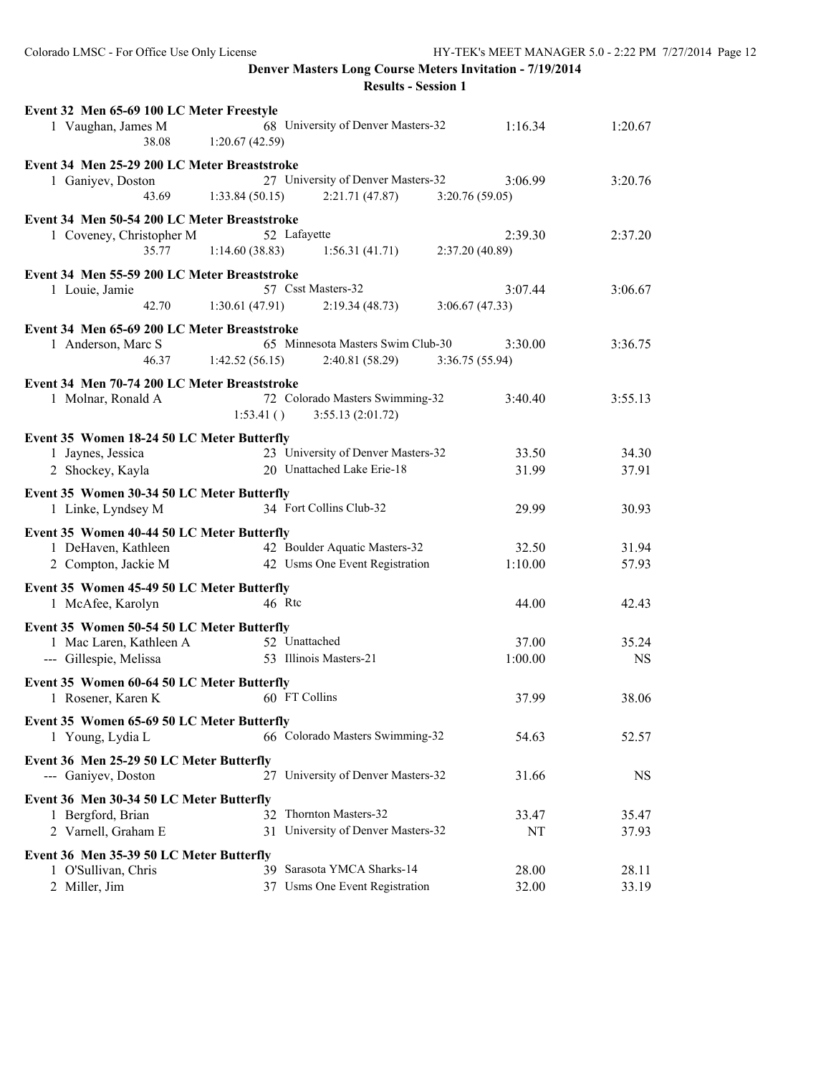| Event 32 Men 65-69 100 LC Meter Freestyle    |                                                      |                 |           |
|----------------------------------------------|------------------------------------------------------|-----------------|-----------|
| 1 Vaughan, James M<br>38.08                  | 68 University of Denver Masters-32<br>1:20.67(42.59) | 1:16.34         | 1:20.67   |
| Event 34 Men 25-29 200 LC Meter Breaststroke |                                                      |                 |           |
| 1 Ganiyev, Doston                            | 27 University of Denver Masters-32                   | 3:06.99         | 3:20.76   |
| 43.69                                        | 1:33.84(50.15)<br>2:21.71(47.87)                     | 3:20.76(59.05)  |           |
| Event 34 Men 50-54 200 LC Meter Breaststroke |                                                      |                 |           |
| 1 Coveney, Christopher M                     | 52 Lafayette                                         | 2:39.30         | 2:37.20   |
| 35.77                                        | 1:14.60(38.83)<br>1:56.31(41.71)                     | 2:37.20 (40.89) |           |
| Event 34 Men 55-59 200 LC Meter Breaststroke |                                                      |                 |           |
| 1 Louie, Jamie                               | 57 Csst Masters-32                                   | 3:07.44         | 3:06.67   |
| 42.70                                        | 1:30.61(47.91)<br>2:19.34(48.73)                     | 3:06.67(47.33)  |           |
| Event 34 Men 65-69 200 LC Meter Breaststroke |                                                      |                 |           |
| 1 Anderson, Marc S                           | 65 Minnesota Masters Swim Club-30                    | 3:30.00         | 3:36.75   |
| 46.37                                        | 1:42.52(56.15)<br>2:40.81(58.29)                     | 3:36.75(55.94)  |           |
| Event 34 Men 70-74 200 LC Meter Breaststroke |                                                      |                 |           |
| 1 Molnar, Ronald A                           | 72 Colorado Masters Swimming-32                      | 3:40.40         | 3:55.13   |
|                                              | 1:53.41()<br>3:55.13(2:01.72)                        |                 |           |
| Event 35 Women 18-24 50 LC Meter Butterfly   |                                                      |                 |           |
| 1 Jaynes, Jessica                            | 23 University of Denver Masters-32                   | 33.50           | 34.30     |
| 2 Shockey, Kayla                             | 20 Unattached Lake Erie-18                           | 31.99           | 37.91     |
|                                              |                                                      |                 |           |
| Event 35 Women 30-34 50 LC Meter Butterfly   | 34 Fort Collins Club-32                              | 29.99           |           |
| 1 Linke, Lyndsey M                           |                                                      |                 | 30.93     |
| Event 35 Women 40-44 50 LC Meter Butterfly   |                                                      |                 |           |
| 1 DeHaven, Kathleen                          | 42 Boulder Aquatic Masters-32                        | 32.50           | 31.94     |
| 2 Compton, Jackie M                          | 42 Usms One Event Registration                       | 1:10.00         | 57.93     |
| Event 35 Women 45-49 50 LC Meter Butterfly   |                                                      |                 |           |
| 1 McAfee, Karolyn                            | 46 Rtc                                               | 44.00           | 42.43     |
| Event 35 Women 50-54 50 LC Meter Butterfly   |                                                      |                 |           |
| 1 Mac Laren, Kathleen A                      | 52 Unattached                                        | 37.00           | 35.24     |
| --- Gillespie, Melissa                       | 53 Illinois Masters-21                               | 1:00.00         | <b>NS</b> |
| Event 35 Women 60-64 50 LC Meter Butterfly   |                                                      |                 |           |
| 1 Rosener, Karen K                           | 60 FT Collins                                        | 37.99           | 38.06     |
|                                              |                                                      |                 |           |
| Event 35 Women 65-69 50 LC Meter Butterfly   |                                                      |                 |           |
| 1 Young, Lydia L                             | 66 Colorado Masters Swimming-32                      | 54.63           | 52.57     |
| Event 36 Men 25-29 50 LC Meter Butterfly     |                                                      |                 |           |
| --- Ganiyev, Doston                          | University of Denver Masters-32<br>27                | 31.66           | <b>NS</b> |
| Event 36 Men 30-34 50 LC Meter Butterfly     |                                                      |                 |           |
| 1 Bergford, Brian                            | Thornton Masters-32<br>32                            | 33.47           | 35.47     |
| 2 Varnell, Graham E                          | 31 University of Denver Masters-32                   | NT              | 37.93     |
| Event 36 Men 35-39 50 LC Meter Butterfly     |                                                      |                 |           |
| 1 O'Sullivan, Chris                          | 39 Sarasota YMCA Sharks-14                           | 28.00           | 28.11     |
| 2 Miller, Jim                                | 37 Usms One Event Registration                       | 32.00           | 33.19     |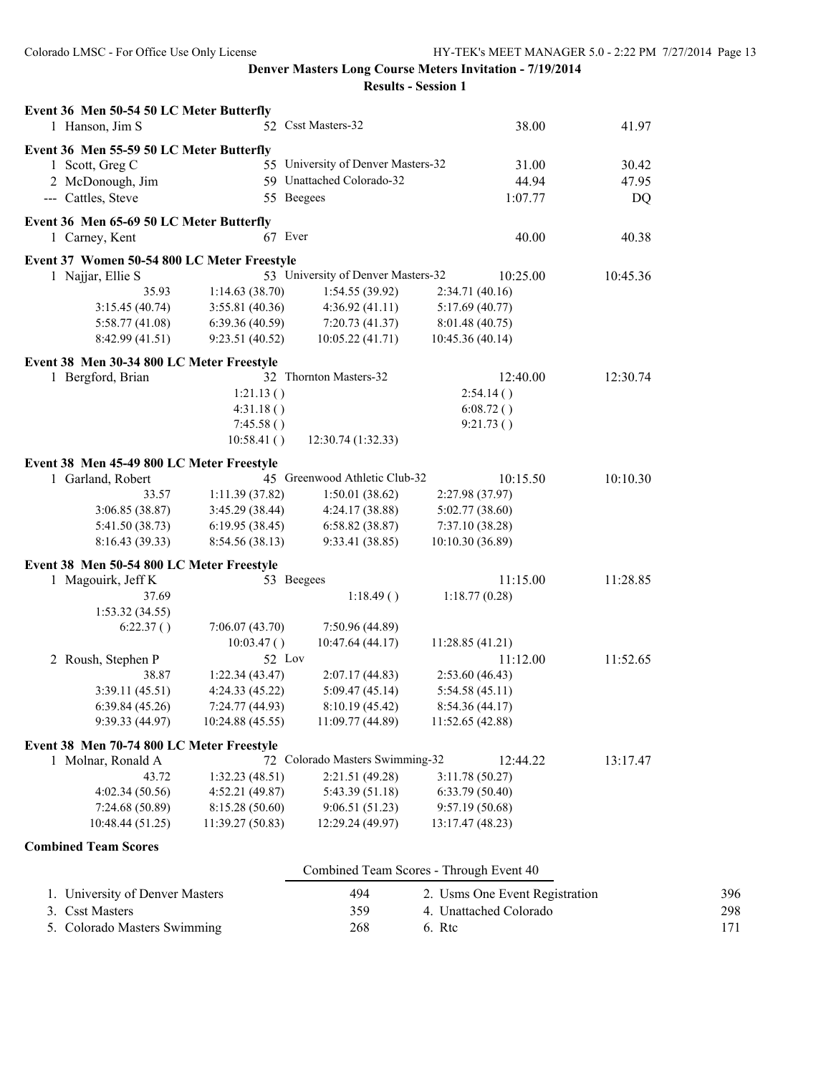| Event 36 Men 50-54 50 LC Meter Butterfly    |                                                                                         |                                    |                  |                |  |  |
|---------------------------------------------|-----------------------------------------------------------------------------------------|------------------------------------|------------------|----------------|--|--|
| 1 Hanson, Jim S                             |                                                                                         | 52 Csst Masters-32<br>38.00        |                  | 41.97          |  |  |
|                                             |                                                                                         |                                    |                  |                |  |  |
| 1 Scott, Greg C                             | Event 36 Men 55-59 50 LC Meter Butterfly<br>55 University of Denver Masters-32<br>31.00 |                                    |                  |                |  |  |
| 2 McDonough, Jim                            |                                                                                         | 59 Unattached Colorado-32          | 44.94            | 30.42<br>47.95 |  |  |
| --- Cattles, Steve                          |                                                                                         | 55 Beegees                         | 1:07.77          | DQ             |  |  |
|                                             |                                                                                         |                                    |                  |                |  |  |
| Event 36 Men 65-69 50 LC Meter Butterfly    |                                                                                         |                                    |                  |                |  |  |
| 1 Carney, Kent                              |                                                                                         | 67 Ever                            | 40.00            | 40.38          |  |  |
| Event 37 Women 50-54 800 LC Meter Freestyle |                                                                                         |                                    |                  |                |  |  |
| 1 Najjar, Ellie S                           |                                                                                         | 53 University of Denver Masters-32 | 10:25.00         | 10:45.36       |  |  |
| 35.93                                       | 1:14.63(38.70)                                                                          | 1:54.55(39.92)                     | 2:34.71(40.16)   |                |  |  |
| 3:15.45(40.74)                              | 3:55.81 (40.36)                                                                         | 4:36.92(41.11)                     | 5:17.69(40.77)   |                |  |  |
| 5:58.77(41.08)                              | 6:39.36(40.59)                                                                          | 7:20.73(41.37)                     | 8:01.48 (40.75)  |                |  |  |
| 8:42.99 (41.51)                             | 9:23.51 (40.52)                                                                         | 10:05.22 (41.71)                   | 10:45.36 (40.14) |                |  |  |
|                                             |                                                                                         |                                    |                  |                |  |  |
| Event 38 Men 30-34 800 LC Meter Freestyle   |                                                                                         |                                    |                  |                |  |  |
| 1 Bergford, Brian                           |                                                                                         | 32 Thornton Masters-32             | 12:40.00         | 12:30.74       |  |  |
|                                             | 1:21.13()                                                                               |                                    | 2:54.14()        |                |  |  |
|                                             | 4:31.18()                                                                               |                                    | 6:08.72()        |                |  |  |
|                                             | 7:45.58()                                                                               |                                    | 9:21.73()        |                |  |  |
|                                             | 10:58.41()                                                                              | 12:30.74 (1:32.33)                 |                  |                |  |  |
| Event 38 Men 45-49 800 LC Meter Freestyle   |                                                                                         |                                    |                  |                |  |  |
| 1 Garland, Robert                           |                                                                                         | 45 Greenwood Athletic Club-32      | 10:15.50         | 10:10.30       |  |  |
| 33.57                                       | 1:11.39(37.82)                                                                          | 1:50.01(38.62)                     | 2:27.98 (37.97)  |                |  |  |
| 3:06.85 (38.87)                             | 3:45.29(38.44)                                                                          | 4:24.17(38.88)                     | 5:02.77(38.60)   |                |  |  |
| 5:41.50 (38.73)                             | 6:19.95(38.45)                                                                          | 6:58.82(38.87)                     | 7:37.10(38.28)   |                |  |  |
| 8:16.43 (39.33)                             | 8:54.56 (38.13)                                                                         | 9:33.41 (38.85)                    | 10:10.30 (36.89) |                |  |  |
| Event 38 Men 50-54 800 LC Meter Freestyle   |                                                                                         |                                    |                  |                |  |  |
| 1 Magouirk, Jeff K                          |                                                                                         | 53 Beegees                         | 11:15.00         | 11:28.85       |  |  |
| 37.69                                       |                                                                                         | 1:18.49()                          | 1:18.77(0.28)    |                |  |  |
| 1:53.32(34.55)                              |                                                                                         |                                    |                  |                |  |  |
| 6:22.37()                                   | 7:06.07(43.70)                                                                          | 7:50.96 (44.89)                    |                  |                |  |  |
|                                             | 10:03.47()                                                                              | 10:47.64 (44.17)                   | 11:28.85 (41.21) |                |  |  |
| 2 Roush, Stephen P                          | 52 Lov                                                                                  |                                    | 11:12.00         | 11:52.65       |  |  |
| 38.87                                       | 1:22.34(43.47)                                                                          | 2:07.17(44.83)                     | 2:53.60(46.43)   |                |  |  |
| 3:39.11(45.51)                              | 4:24.33 (45.22)                                                                         | 5:09.47(45.14)                     | 5:54.58(45.11)   |                |  |  |
| 6:39.84(45.26)                              | 7:24.77 (44.93)                                                                         | 8:10.19(45.42)                     | 8:54.36(44.17)   |                |  |  |
| 9:39.33 (44.97)                             | 10:24.88 (45.55)                                                                        | 11:09.77 (44.89)                   | 11:52.65 (42.88) |                |  |  |
|                                             |                                                                                         |                                    |                  |                |  |  |
| Event 38 Men 70-74 800 LC Meter Freestyle   |                                                                                         |                                    |                  |                |  |  |
| 1 Molnar, Ronald A                          |                                                                                         | 72 Colorado Masters Swimming-32    | 12:44.22         | 13:17.47       |  |  |
| 43.72                                       | 1:32.23(48.51)                                                                          | 2:21.51 (49.28)                    | 3:11.78(50.27)   |                |  |  |
| 4:02.34(50.56)                              | 4:52.21(49.87)                                                                          | 5:43.39 (51.18)                    | 6:33.79(50.40)   |                |  |  |
| 7:24.68(50.89)                              | 8:15.28 (50.60)                                                                         | 9:06.51(51.23)                     | 9:57.19 (50.68)  |                |  |  |
| 10:48.44 (51.25)                            | 11:39.27 (50.83)                                                                        | 12:29.24 (49.97)                   | 13:17.47 (48.23) |                |  |  |
| <b>Combined Team Scores</b>                 |                                                                                         |                                    |                  |                |  |  |
|                                             |                                                                                         |                                    |                  |                |  |  |
| Combined Team Scores - Through Event 40     |                                                                                         |                                    |                  |                |  |  |

| 1. University of Denver Masters | 494 | 2. Usms One Event Registration | 396 |
|---------------------------------|-----|--------------------------------|-----|
| 3. Csst Masters                 | 359 | 4. Unattached Colorado         | 298 |
| 5. Colorado Masters Swimming    | 268 | 6 Rtc                          |     |